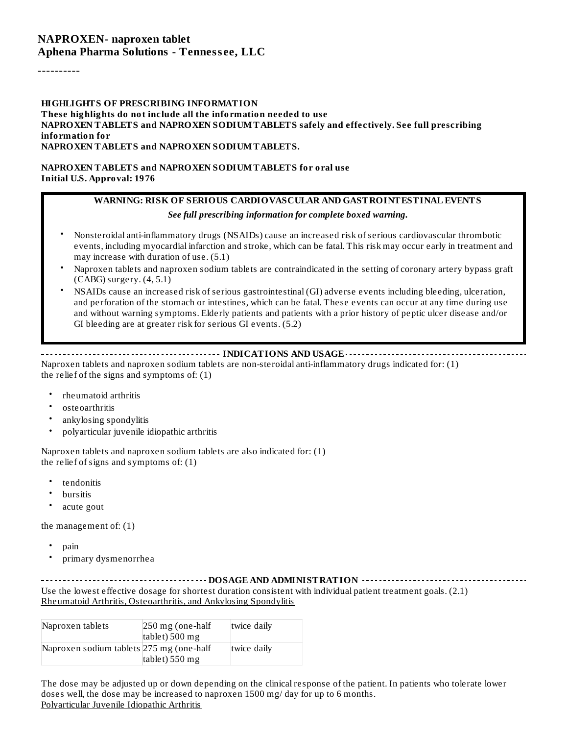#### **NAPROXEN- naproxen tablet Aphena Pharma Solutions - Tenness ee, LLC**

----------

#### **HIGHLIGHTS OF PRESCRIBING INFORMATION These highlights do not include all the information needed to use NAPROXEN TABLETS and NAPROXEN SODIUMTABLETS safely and effectively. See full prescribing information for NAPROXEN TABLETS and NAPROXEN SODIUMTABLETS.**

#### **NAPROXEN TABLETS and NAPROXEN SODIUMTABLETS for oral use Initial U.S. Approval: 1976**

#### **WARNING: RISK OF SERIOUS CARDIOVASCULAR AND GASTROINTESTINAL EVENTS** *See full prescribing information for complete boxed warning.*

- Nonsteroidal anti-inflammatory drugs (NSAIDs) cause an increased risk of serious cardiovascular thrombotic events, including myocardial infarction and stroke, which can be fatal. This risk may occur early in treatment and may increase with duration of use. (5.1)
- Naproxen tablets and naproxen sodium tablets are contraindicated in the setting of coronary artery bypass graft (CABG) surgery. (4, 5.1)
- NSAIDs cause an increased risk of serious gastrointestinal (GI) adverse events including bleeding, ulceration, and perforation of the stomach or intestines, which can be fatal. These events can occur at any time during use and without warning symptoms. Elderly patients and patients with a prior history of peptic ulcer disease and/or GI bleeding are at greater risk for serious GI events. (5.2)

#### **INDICATIONS AND USAGE**

Naproxen tablets and naproxen sodium tablets are non-steroidal anti-inflammatory drugs indicated for: (1) the relief of the signs and symptoms of: (1)

- rheumatoid arthritis
- osteoarthritis
- ankylosing spondylitis
- polyarticular juvenile idiopathic arthritis

Naproxen tablets and naproxen sodium tablets are also indicated for: (1) the relief of signs and symptoms of: (1)

- tendonitis
- bursitis
- acute gout

the management of: (1)

- pain
- primary dysmenorrhea

**DOSAGE AND ADMINISTRATION** Use the lowest effective dosage for shortest duration consistent with individual patient treatment goals. (2.1) Rheumatoid Arthritis, Osteoarthritis, and Ankylosing Spondylitis

| Naproxen tablets                         | 250 mg (one-half | twice daily |  |
|------------------------------------------|------------------|-------------|--|
|                                          | tablet) 500 mg   |             |  |
| Naproxen sodium tablets 275 mg (one-half | tablet) 550 mg   | twice daily |  |

The dose may be adjusted up or down depending on the clinical response of the patient. In patients who tolerate lower doses well, the dose may be increased to naproxen 1500 mg/ day for up to 6 months. Polyarticular Juvenile Idiopathic Arthritis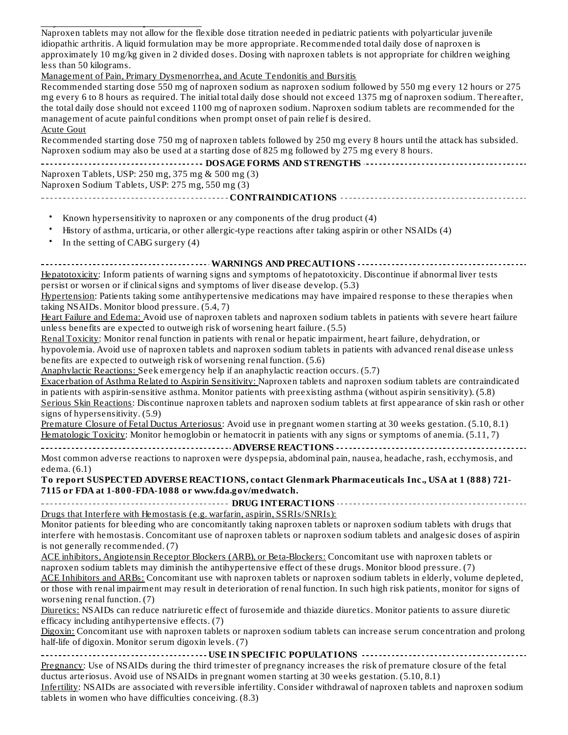Polyarticular Juvenile Idiopathic Arthritis Naproxen tablets may not allow for the flexible dose titration needed in pediatric patients with polyarticular juvenile idiopathic arthritis. A liquid formulation may be more appropriate. Recommended total daily dose of naproxen is approximately 10 mg/kg given in 2 divided doses. Dosing with naproxen tablets is not appropriate for children weighing less than 50 kilograms.

Management of Pain, Primary Dysmenorrhea, and Acute Tendonitis and Bursitis

Recommended starting dose 550 mg of naproxen sodium as naproxen sodium followed by 550 mg every 12 hours or 275 mg every 6 to 8 hours as required. The initial total daily dose should not exceed 1375 mg of naproxen sodium. Thereafter, the total daily dose should not exceed 1100 mg of naproxen sodium. Naproxen sodium tablets are recommended for the management of acute painful conditions when prompt onset of pain relief is desired. Acute Gout

Recommended starting dose 750 mg of naproxen tablets followed by 250 mg every 8 hours until the attack has subsided. Naproxen sodium may also be used at a starting dose of 825 mg followed by 275 mg every 8 hours.

| Naproxen Tablets, USP: 250 mg, 375 mg & 500 mg (3) |  |  |  |  |
|----------------------------------------------------|--|--|--|--|
| Naproxen Sodium Tablets, USP: 275 mg, 550 mg (3)   |  |  |  |  |
|                                                    |  |  |  |  |

- Known hypersensitivity to naproxen or any components of the drug product (4)
- History of asthma, urticaria, or other allergic-type reactions after taking aspirin or other NSAIDs (4)
- In the setting of CABG surgery (4)

•

**WARNINGS AND PRECAUTIONS**

Hepatotoxicity: Inform patients of warning signs and symptoms of hepatotoxicity. Discontinue if abnormal liver tests persist or worsen or if clinicalsigns and symptoms of liver disease develop. (5.3)

Hypertension: Patients taking some antihypertensive medications may have impaired response to these therapies when taking NSAIDs. Monitor blood pressure. (5.4, 7)

Heart Failure and Edema: Avoid use of naproxen tablets and naproxen sodium tablets in patients with severe heart failure unless benefits are expected to outweigh risk of worsening heart failure. (5.5)

Renal Toxicity: Monitor renal function in patients with renal or hepatic impairment, heart failure, dehydration, or hypovolemia. Avoid use of naproxen tablets and naproxen sodium tablets in patients with advanced renal disease unless benefits are expected to outweigh risk of worsening renal function. (5.6)

Anaphylactic Reactions: Seek emergency help if an anaphylactic reaction occurs. (5.7)

Exacerbation of Asthma Related to Aspirin Sensitivity: Naproxen tablets and naproxen sodium tablets are contraindicated in patients with aspirin-sensitive asthma. Monitor patients with preexisting asthma (without aspirin sensitivity). (5.8) Serious Skin Reactions: Discontinue naproxen tablets and naproxen sodium tablets at first appearance of skin rash or other signs of hypersensitivity. (5.9)

Premature Closure of Fetal Ductus Arteriosus: Avoid use in pregnant women starting at 30 weeks gestation. (5.10, 8.1) Hematologic Toxicity: Monitor hemoglobin or hematocrit in patients with any signs or symptoms of anemia. (5.11, 7)

**ADVERSE REACTIONS** Most common adverse reactions to naproxen were dyspepsia, abdominal pain, nausea, headache, rash, ecchymosis, and

edema. (6.1) **To report SUSPECTED ADVERSE REACTIONS, contact Glenmark Pharmaceuticals Inc., USA at 1 (888) 721- 7115 or FDA at 1-800-FDA-1088 or www.fda.gov/medwatch.**

**DRUG INTERACTIONS**

Drugs that Interfere with Hemostasis (e.g. warfarin, aspirin, SSRIs/SNRIs):

Monitor patients for bleeding who are concomitantly taking naproxen tablets or naproxen sodium tablets with drugs that interfere with hemostasis. Concomitant use of naproxen tablets or naproxen sodium tablets and analgesic doses of aspirin is not generally recommended. (7)

ACE inhibitors, Angiotensin Receptor Blockers (ARB), or Beta-Blockers: Concomitant use with naproxen tablets or naproxen sodium tablets may diminish the antihypertensive effect of these drugs. Monitor blood pressure. (7) ACE Inhibitors and ARBs: Concomitant use with naproxen tablets or naproxen sodium tablets in elderly, volume depleted, or those with renal impairment may result in deterioration of renal function. In such high risk patients, monitor for signs of worsening renal function. (7)

Diuretics: NSAIDs can reduce natriuretic effect of furosemide and thiazide diuretics. Monitor patients to assure diuretic efficacy including antihypertensive effects. (7)

Digoxin: Concomitant use with naproxen tablets or naproxen sodium tablets can increase serum concentration and prolong half-life of digoxin. Monitor serum digoxin levels. (7)

**USE IN SPECIFIC POPULATIONS** Pregnancy: Use of NSAIDs during the third trimester of pregnancy increases the risk of premature closure of the fetal ductus arteriosus. Avoid use of NSAIDs in pregnant women starting at 30 weeks gestation. (5.10, 8.1)

Infertility: NSAIDs are associated with reversible infertility. Consider withdrawal of naproxen tablets and naproxen sodium tablets in women who have difficulties conceiving. (8.3)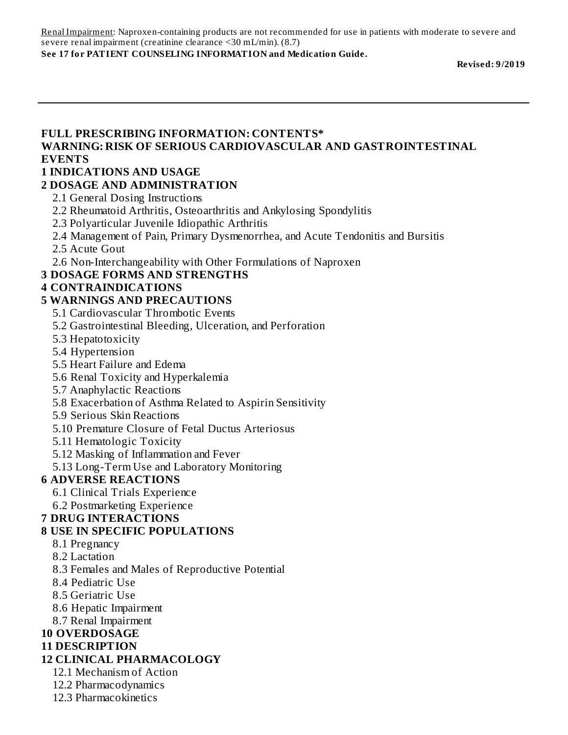Renal Impairment: Naproxen-containing products are not recommended for use in patients with moderate to severe and severe renal impairment (creatinine clearance <30 mL/min). (8.7)

#### **See 17 for PATIENT COUNSELING INFORMATION and Medication Guide.**

**Revised: 9/2019**

#### **FULL PRESCRIBING INFORMATION: CONTENTS\* WARNING: RISK OF SERIOUS CARDIOVASCULAR AND GASTROINTESTINAL EVENTS**

#### **1 INDICATIONS AND USAGE**

#### **2 DOSAGE AND ADMINISTRATION**

- 2.1 General Dosing Instructions
- 2.2 Rheumatoid Arthritis, Osteoarthritis and Ankylosing Spondylitis
- 2.3 Polyarticular Juvenile Idiopathic Arthritis
- 2.4 Management of Pain, Primary Dysmenorrhea, and Acute Tendonitis and Bursitis
- 2.5 Acute Gout
- 2.6 Non-Interchangeability with Other Formulations of Naproxen

#### **3 DOSAGE FORMS AND STRENGTHS**

#### **4 CONTRAINDICATIONS**

#### **5 WARNINGS AND PRECAUTIONS**

- 5.1 Cardiovascular Thrombotic Events
- 5.2 Gastrointestinal Bleeding, Ulceration, and Perforation
- 5.3 Hepatotoxicity
- 5.4 Hypertension
- 5.5 Heart Failure and Edema
- 5.6 Renal Toxicity and Hyperkalemia
- 5.7 Anaphylactic Reactions
- 5.8 Exacerbation of Asthma Related to Aspirin Sensitivity
- 5.9 Serious Skin Reactions
- 5.10 Premature Closure of Fetal Ductus Arteriosus
- 5.11 Hematologic Toxicity
- 5.12 Masking of Inflammation and Fever
- 5.13 Long-Term Use and Laboratory Monitoring

#### **6 ADVERSE REACTIONS**

- 6.1 Clinical Trials Experience
- 6.2 Postmarketing Experience
- **7 DRUG INTERACTIONS**

#### **8 USE IN SPECIFIC POPULATIONS**

- 8.1 Pregnancy
- 8.2 Lactation
- 8.3 Females and Males of Reproductive Potential
- 8.4 Pediatric Use
- 8.5 Geriatric Use
- 8.6 Hepatic Impairment
- 8.7 Renal Impairment

#### **10 OVERDOSAGE**

**11 DESCRIPTION**

#### **12 CLINICAL PHARMACOLOGY**

- 12.1 Mechanism of Action
- 12.2 Pharmacodynamics
- 12.3 Pharmacokinetics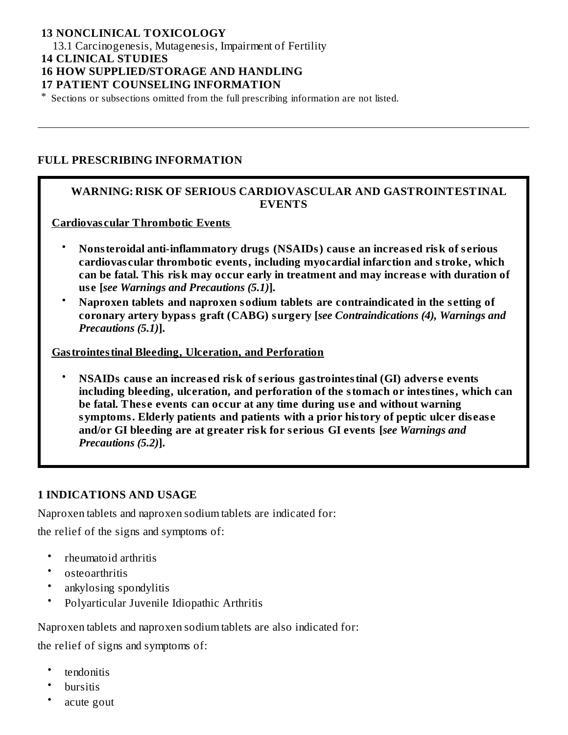#### **13 NONCLINICAL TOXICOLOGY**

13.1 Carcinogenesis, Mutagenesis, Impairment of Fertility

#### **14 CLINICAL STUDIES**

#### **16 HOW SUPPLIED/STORAGE AND HANDLING**

#### **17 PATIENT COUNSELING INFORMATION**

\* Sections or subsections omitted from the full prescribing information are not listed.

#### **FULL PRESCRIBING INFORMATION**

#### **WARNING: RISK OF SERIOUS CARDIOVASCULAR AND GASTROINTESTINAL EVENTS**

**Cardiovas cular Thrombotic Events**

- **Nonsteroidal anti-inflammatory drugs (NSAIDs) caus e an increas ed risk of s erious cardiovas cular thrombotic events, including myocardial infarction and stroke, which can be fatal. This risk may occur early in treatment and may increas e with duration of us e [***see Warnings and Precautions (5.1)***].**
- **Naproxen tablets and naproxen sodium tablets are contraindicated in the s etting of coronary artery bypass graft (CABG) surgery [***see Contraindications (4), Warnings and Precautions (5.1)***].**

#### **Gastrointestinal Bleeding, Ulceration, and Perforation**

• **NSAIDs caus e an increas ed risk of s erious gastrointestinal (GI) advers e events including bleeding, ulceration, and perforation of the stomach or intestines, which can be fatal. Thes e events can occur at any time during us e and without warning symptoms. Elderly patients and patients with a prior history of peptic ulcer dis eas e and/or GI bleeding are at greater risk for s erious GI events [***see Warnings and Precautions (5.2)***].**

### **1 INDICATIONS AND USAGE**

Naproxen tablets and naproxen sodium tablets are indicated for:

the relief of the signs and symptoms of:

- rheumatoid arthritis
- osteoarthritis
- ankylosing spondylitis
- Polyarticular Juvenile Idiopathic Arthritis

Naproxen tablets and naproxen sodium tablets are also indicated for: the relief of signs and symptoms of:

- tendonitis
- bursitis
- acute gout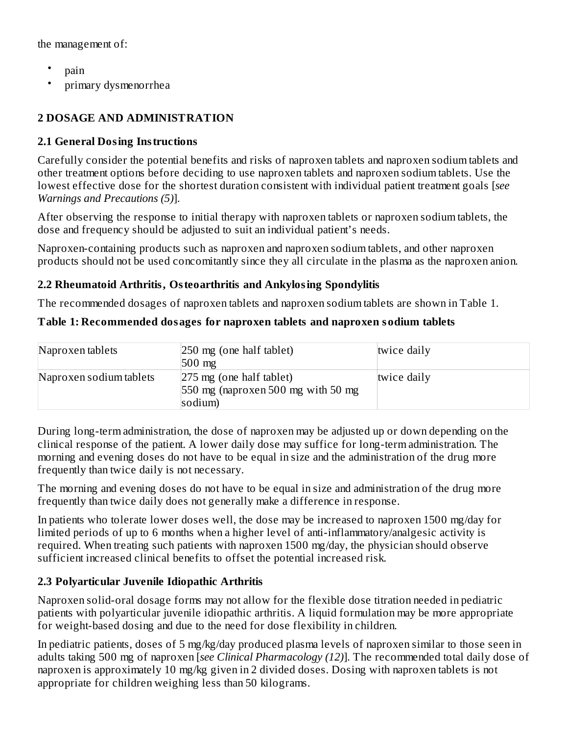the management of:

- pain
- primary dysmenorrhea

## **2 DOSAGE AND ADMINISTRATION**

### **2.1 General Dosing Instructions**

Carefully consider the potential benefits and risks of naproxen tablets and naproxen sodium tablets and other treatment options before deciding to use naproxen tablets and naproxen sodium tablets. Use the lowest effective dose for the shortest duration consistent with individual patient treatment goals [*see Warnings and Precautions (5)*].

After observing the response to initial therapy with naproxen tablets or naproxen sodium tablets, the dose and frequency should be adjusted to suit an individual patient's needs.

Naproxen-containing products such as naproxen and naproxen sodium tablets, and other naproxen products should not be used concomitantly since they all circulate in the plasma as the naproxen anion.

#### **2.2 Rheumatoid Arthritis, Osteoarthritis and Ankylosing Spondylitis**

The recommended dosages of naproxen tablets and naproxen sodium tablets are shown in Table 1.

#### **Table 1: Recommended dosages for naproxen tablets and naproxen sodium tablets**

| Naproxen tablets        | $ 250 \text{ mg}$ (one half tablet)                                                                 | twice daily |
|-------------------------|-----------------------------------------------------------------------------------------------------|-------------|
| Naproxen sodium tablets | $500$ mg<br>$ 275 \text{ mg}$ (one half tablet)<br>$550$ mg (naproxen 500 mg with 50 mg)<br>sodium) | twice daily |

During long-term administration, the dose of naproxen may be adjusted up or down depending on the clinical response of the patient. A lower daily dose may suffice for long-term administration. The morning and evening doses do not have to be equal in size and the administration of the drug more frequently than twice daily is not necessary.

The morning and evening doses do not have to be equal in size and administration of the drug more frequently than twice daily does not generally make a difference in response.

In patients who tolerate lower doses well, the dose may be increased to naproxen 1500 mg/day for limited periods of up to 6 months when a higher level of anti-inflammatory/analgesic activity is required. When treating such patients with naproxen 1500 mg/day, the physician should observe sufficient increased clinical benefits to offset the potential increased risk.

### **2.3 Polyarticular Juvenile Idiopathic Arthritis**

Naproxen solid-oral dosage forms may not allow for the flexible dose titration needed in pediatric patients with polyarticular juvenile idiopathic arthritis. A liquid formulation may be more appropriate for weight-based dosing and due to the need for dose flexibility in children.

In pediatric patients, doses of 5 mg/kg/day produced plasma levels of naproxen similar to those seen in adults taking 500 mg of naproxen [*see Clinical Pharmacology (12)*]. The recommended total daily dose of naproxen is approximately 10 mg/kg given in 2 divided doses. Dosing with naproxen tablets is not appropriate for children weighing less than 50 kilograms.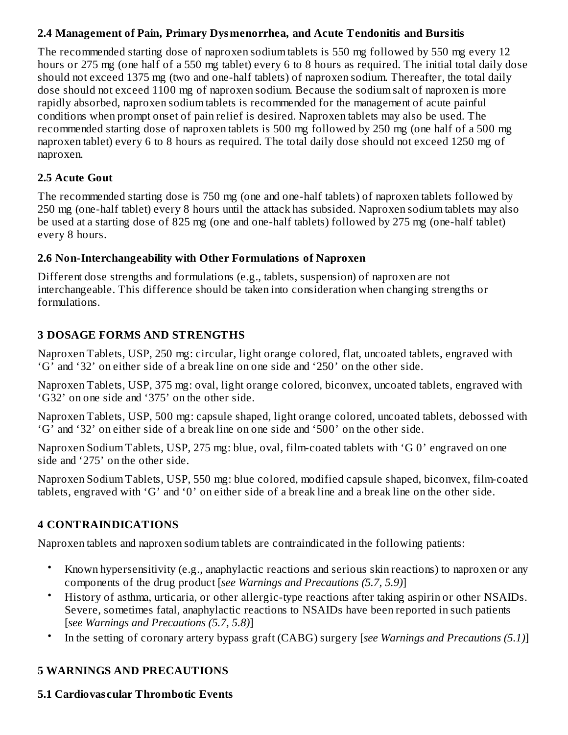### **2.4 Management of Pain, Primary Dysmenorrhea, and Acute Tendonitis and Bursitis**

The recommended starting dose of naproxen sodium tablets is 550 mg followed by 550 mg every 12 hours or 275 mg (one half of a 550 mg tablet) every 6 to 8 hours as required. The initial total daily dose should not exceed 1375 mg (two and one-half tablets) of naproxen sodium. Thereafter, the total daily dose should not exceed 1100 mg of naproxen sodium. Because the sodium salt of naproxen is more rapidly absorbed, naproxen sodium tablets is recommended for the management of acute painful conditions when prompt onset of pain relief is desired. Naproxen tablets may also be used. The recommended starting dose of naproxen tablets is 500 mg followed by 250 mg (one half of a 500 mg naproxen tablet) every 6 to 8 hours as required. The total daily dose should not exceed 1250 mg of naproxen.

### **2.5 Acute Gout**

The recommended starting dose is 750 mg (one and one-half tablets) of naproxen tablets followed by 250 mg (one-half tablet) every 8 hours until the attack has subsided. Naproxen sodium tablets may also be used at a starting dose of 825 mg (one and one-half tablets) followed by 275 mg (one-half tablet) every 8 hours.

### **2.6 Non-Interchangeability with Other Formulations of Naproxen**

Different dose strengths and formulations (e.g., tablets, suspension) of naproxen are not interchangeable. This difference should be taken into consideration when changing strengths or formulations.

## **3 DOSAGE FORMS AND STRENGTHS**

Naproxen Tablets, USP, 250 mg: circular, light orange colored, flat, uncoated tablets, engraved with 'G' and '32' on either side of a break line on one side and '250' on the other side.

Naproxen Tablets, USP, 375 mg: oval, light orange colored, biconvex, uncoated tablets, engraved with 'G32' on one side and '375' on the other side.

Naproxen Tablets, USP, 500 mg: capsule shaped, light orange colored, uncoated tablets, debossed with 'G' and '32' on either side of a break line on one side and '500' on the other side.

Naproxen Sodium Tablets, USP, 275 mg: blue, oval, film-coated tablets with 'G 0' engraved on one side and '275' on the other side.

Naproxen Sodium Tablets, USP, 550 mg: blue colored, modified capsule shaped, biconvex, film-coated tablets, engraved with 'G' and '0' on either side of a break line and a break line on the other side.

## **4 CONTRAINDICATIONS**

Naproxen tablets and naproxen sodium tablets are contraindicated in the following patients:

- Known hypersensitivity (e.g., anaphylactic reactions and serious skin reactions) to naproxen or any components of the drug product [*see Warnings and Precautions (5.7, 5.9)*]
- History of asthma, urticaria, or other allergic-type reactions after taking aspirin or other NSAIDs. Severe, sometimes fatal, anaphylactic reactions to NSAIDs have been reported in such patients [*see Warnings and Precautions (5.7, 5.8)*]
- In the setting of coronary artery bypass graft (CABG) surgery [*see Warnings and Precautions (5.1)*]

# **5 WARNINGS AND PRECAUTIONS**

## **5.1 Cardiovas cular Thrombotic Events**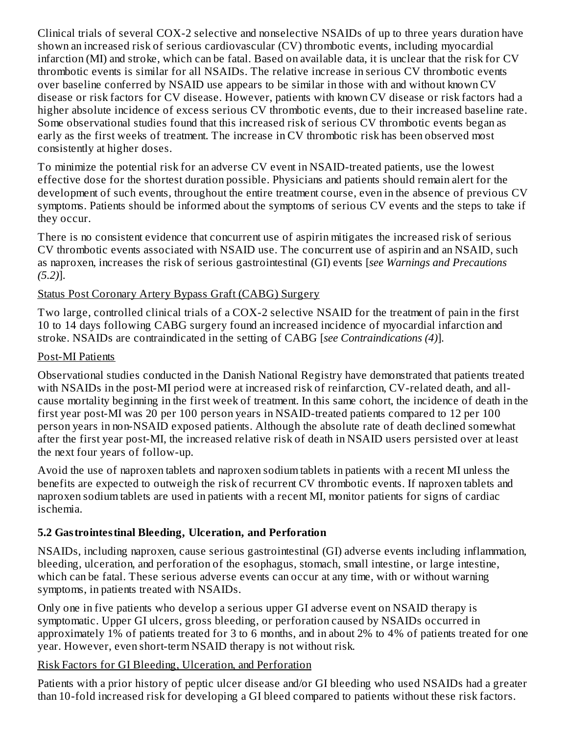Clinical trials of several COX-2 selective and nonselective NSAIDs of up to three years duration have shown an increased risk of serious cardiovascular (CV) thrombotic events, including myocardial infarction (MI) and stroke, which can be fatal. Based on available data, it is unclear that the risk for CV thrombotic events is similar for all NSAIDs. The relative increase in serious CV thrombotic events over baseline conferred by NSAID use appears to be similar in those with and without known CV disease or risk factors for CV disease. However, patients with known CV disease or risk factors had a higher absolute incidence of excess serious CV thrombotic events, due to their increased baseline rate. Some observational studies found that this increased risk of serious CV thrombotic events began as early as the first weeks of treatment. The increase in CV thrombotic risk has been observed most consistently at higher doses.

To minimize the potential risk for an adverse CV event in NSAID-treated patients, use the lowest effective dose for the shortest duration possible. Physicians and patients should remain alert for the development of such events, throughout the entire treatment course, even in the absence of previous CV symptoms. Patients should be informed about the symptoms of serious CV events and the steps to take if they occur.

There is no consistent evidence that concurrent use of aspirin mitigates the increased risk of serious CV thrombotic events associated with NSAID use. The concurrent use of aspirin and an NSAID, such as naproxen, increases the risk of serious gastrointestinal (GI) events [*see Warnings and Precautions (5.2)*].

### Status Post Coronary Artery Bypass Graft (CABG) Surgery

Two large, controlled clinical trials of a COX-2 selective NSAID for the treatment of pain in the first 10 to 14 days following CABG surgery found an increased incidence of myocardial infarction and stroke. NSAIDs are contraindicated in the setting of CABG [*see Contraindications (4)*].

#### Post-MI Patients

Observational studies conducted in the Danish National Registry have demonstrated that patients treated with NSAIDs in the post-MI period were at increased risk of reinfarction, CV-related death, and allcause mortality beginning in the first week of treatment. In this same cohort, the incidence of death in the first year post-MI was 20 per 100 person years in NSAID-treated patients compared to 12 per 100 person years in non-NSAID exposed patients. Although the absolute rate of death declined somewhat after the first year post-MI, the increased relative risk of death in NSAID users persisted over at least the next four years of follow-up.

Avoid the use of naproxen tablets and naproxen sodium tablets in patients with a recent MI unless the benefits are expected to outweigh the risk of recurrent CV thrombotic events. If naproxen tablets and naproxen sodium tablets are used in patients with a recent MI, monitor patients for signs of cardiac ischemia.

### **5.2 Gastrointestinal Bleeding, Ulceration, and Perforation**

NSAIDs, including naproxen, cause serious gastrointestinal (GI) adverse events including inflammation, bleeding, ulceration, and perforation of the esophagus, stomach, small intestine, or large intestine, which can be fatal. These serious adverse events can occur at any time, with or without warning symptoms, in patients treated with NSAIDs.

Only one in five patients who develop a serious upper GI adverse event on NSAID therapy is symptomatic. Upper GI ulcers, gross bleeding, or perforation caused by NSAIDs occurred in approximately 1% of patients treated for 3 to 6 months, and in about 2% to 4% of patients treated for one year. However, even short-term NSAID therapy is not without risk.

#### Risk Factors for GI Bleeding, Ulceration, and Perforation

Patients with a prior history of peptic ulcer disease and/or GI bleeding who used NSAIDs had a greater than 10-fold increased risk for developing a GI bleed compared to patients without these risk factors.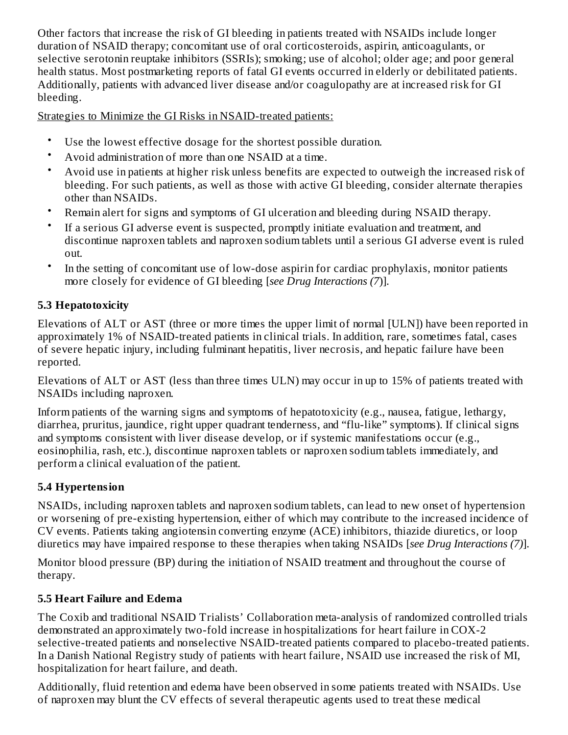Other factors that increase the risk of GI bleeding in patients treated with NSAIDs include longer duration of NSAID therapy; concomitant use of oral corticosteroids, aspirin, anticoagulants, or selective serotonin reuptake inhibitors (SSRIs); smoking; use of alcohol; older age; and poor general health status. Most postmarketing reports of fatal GI events occurred in elderly or debilitated patients. Additionally, patients with advanced liver disease and/or coagulopathy are at increased risk for GI bleeding.

Strategies to Minimize the GI Risks in NSAID-treated patients:

- Use the lowest effective dosage for the shortest possible duration.
- Avoid administration of more than one NSAID at a time.
- Avoid use in patients at higher risk unless benefits are expected to outweigh the increased risk of bleeding. For such patients, as well as those with active GI bleeding, consider alternate therapies other than NSAIDs.
- Remain alert for signs and symptoms of GI ulceration and bleeding during NSAID therapy.
- If a serious GI adverse event is suspected, promptly initiate evaluation and treatment, and discontinue naproxen tablets and naproxen sodium tablets until a serious GI adverse event is ruled out.
- In the setting of concomitant use of low-dose aspirin for cardiac prophylaxis, monitor patients more closely for evidence of GI bleeding [*see Drug Interactions (7*)].

## **5.3 Hepatotoxicity**

Elevations of ALT or AST (three or more times the upper limit of normal [ULN]) have been reported in approximately 1% of NSAID-treated patients in clinical trials. In addition, rare, sometimes fatal, cases of severe hepatic injury, including fulminant hepatitis, liver necrosis, and hepatic failure have been reported.

Elevations of ALT or AST (less than three times ULN) may occur in up to 15% of patients treated with NSAIDs including naproxen.

Inform patients of the warning signs and symptoms of hepatotoxicity (e.g., nausea, fatigue, lethargy, diarrhea, pruritus, jaundice, right upper quadrant tenderness, and "flu-like" symptoms). If clinical signs and symptoms consistent with liver disease develop, or if systemic manifestations occur (e.g., eosinophilia, rash, etc.), discontinue naproxen tablets or naproxen sodium tablets immediately, and perform a clinical evaluation of the patient.

# **5.4 Hypertension**

NSAIDs, including naproxen tablets and naproxen sodium tablets, can lead to new onset of hypertension or worsening of pre-existing hypertension, either of which may contribute to the increased incidence of CV events. Patients taking angiotensin converting enzyme (ACE) inhibitors, thiazide diuretics, or loop diuretics may have impaired response to these therapies when taking NSAIDs [*see Drug Interactions (7)*].

Monitor blood pressure (BP) during the initiation of NSAID treatment and throughout the course of therapy.

# **5.5 Heart Failure and Edema**

The Coxib and traditional NSAID Trialists' Collaboration meta-analysis of randomized controlled trials demonstrated an approximately two-fold increase in hospitalizations for heart failure in COX-2 selective-treated patients and nonselective NSAID-treated patients compared to placebo-treated patients. In a Danish National Registry study of patients with heart failure, NSAID use increased the risk of MI, hospitalization for heart failure, and death.

Additionally, fluid retention and edema have been observed in some patients treated with NSAIDs. Use of naproxen may blunt the CV effects of several therapeutic agents used to treat these medical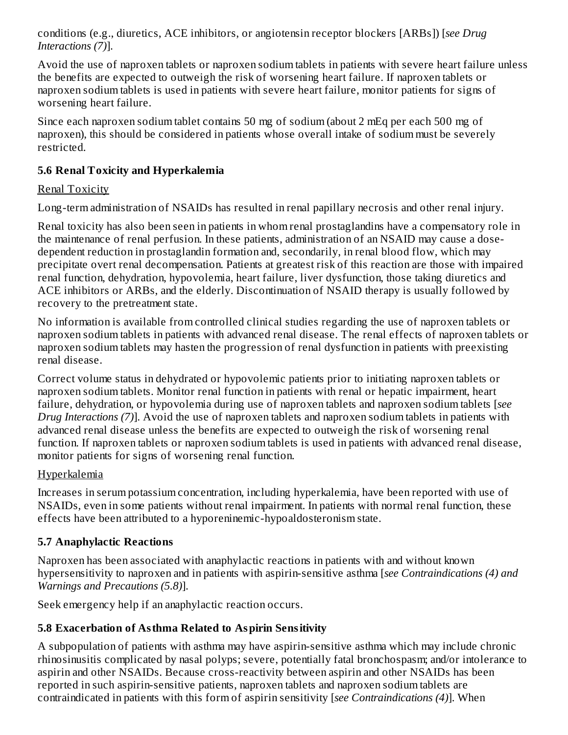conditions (e.g., diuretics, ACE inhibitors, or angiotensin receptor blockers [ARBs]) [*see Drug Interactions (7)*].

Avoid the use of naproxen tablets or naproxen sodium tablets in patients with severe heart failure unless the benefits are expected to outweigh the risk of worsening heart failure. If naproxen tablets or naproxen sodium tablets is used in patients with severe heart failure, monitor patients for signs of worsening heart failure.

Since each naproxen sodium tablet contains 50 mg of sodium (about 2 mEq per each 500 mg of naproxen), this should be considered in patients whose overall intake of sodium must be severely restricted.

## **5.6 Renal Toxicity and Hyperkalemia**

## Renal Toxicity

Long-term administration of NSAIDs has resulted in renal papillary necrosis and other renal injury.

Renal toxicity has also been seen in patients in whom renal prostaglandins have a compensatory role in the maintenance of renal perfusion. In these patients, administration of an NSAID may cause a dosedependent reduction in prostaglandin formation and, secondarily, in renal blood flow, which may precipitate overt renal decompensation. Patients at greatest risk of this reaction are those with impaired renal function, dehydration, hypovolemia, heart failure, liver dysfunction, those taking diuretics and ACE inhibitors or ARBs, and the elderly. Discontinuation of NSAID therapy is usually followed by recovery to the pretreatment state.

No information is available from controlled clinical studies regarding the use of naproxen tablets or naproxen sodium tablets in patients with advanced renal disease. The renal effects of naproxen tablets or naproxen sodium tablets may hasten the progression of renal dysfunction in patients with preexisting renal disease.

Correct volume status in dehydrated or hypovolemic patients prior to initiating naproxen tablets or naproxen sodium tablets. Monitor renal function in patients with renal or hepatic impairment, heart failure, dehydration, or hypovolemia during use of naproxen tablets and naproxen sodium tablets [*see Drug Interactions (7)*]. Avoid the use of naproxen tablets and naproxen sodium tablets in patients with advanced renal disease unless the benefits are expected to outweigh the risk of worsening renal function. If naproxen tablets or naproxen sodium tablets is used in patients with advanced renal disease, monitor patients for signs of worsening renal function.

## **Hyperkalemia**

Increases in serum potassium concentration, including hyperkalemia, have been reported with use of NSAIDs, even in some patients without renal impairment. In patients with normal renal function, these effects have been attributed to a hyporeninemic-hypoaldosteronism state.

## **5.7 Anaphylactic Reactions**

Naproxen has been associated with anaphylactic reactions in patients with and without known hypersensitivity to naproxen and in patients with aspirin-sensitive asthma [*see Contraindications (4) and Warnings and Precautions (5.8)*].

Seek emergency help if an anaphylactic reaction occurs.

# **5.8 Exacerbation of Asthma Related to Aspirin Sensitivity**

A subpopulation of patients with asthma may have aspirin-sensitive asthma which may include chronic rhinosinusitis complicated by nasal polyps; severe, potentially fatal bronchospasm; and/or intolerance to aspirin and other NSAIDs. Because cross-reactivity between aspirin and other NSAIDs has been reported in such aspirin-sensitive patients, naproxen tablets and naproxen sodium tablets are contraindicated in patients with this form of aspirin sensitivity [*see Contraindications (4)*]. When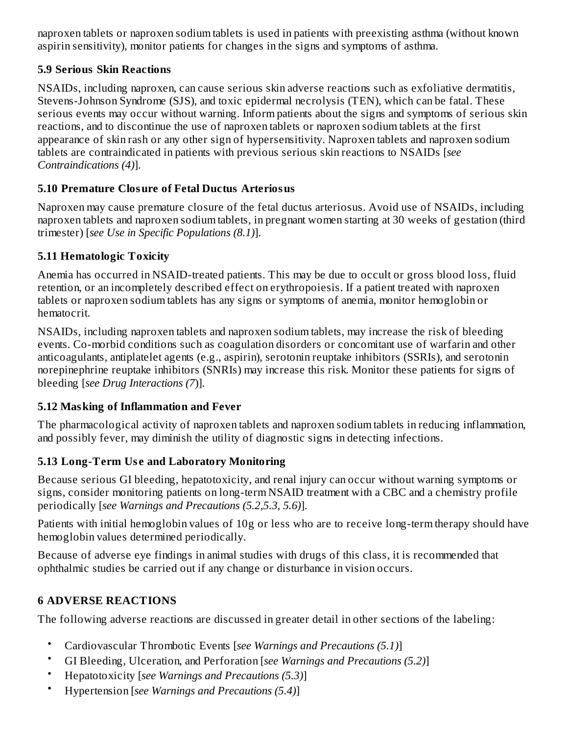naproxen tablets or naproxen sodium tablets is used in patients with preexisting asthma (without known aspirin sensitivity), monitor patients for changes in the signs and symptoms of asthma.

### **5.9 Serious Skin Reactions**

NSAIDs, including naproxen, can cause serious skin adverse reactions such as exfoliative dermatitis, Stevens-Johnson Syndrome (SJS), and toxic epidermal necrolysis (TEN), which can be fatal. These serious events may occur without warning. Inform patients about the signs and symptoms of serious skin reactions, and to discontinue the use of naproxen tablets or naproxen sodium tablets at the first appearance of skin rash or any other sign of hypersensitivity. Naproxen tablets and naproxen sodium tablets are contraindicated in patients with previous serious skin reactions to NSAIDs [*see Contraindications (4)*].

### **5.10 Premature Closure of Fetal Ductus Arteriosus**

Naproxen may cause premature closure of the fetal ductus arteriosus. Avoid use of NSAIDs, including naproxen tablets and naproxen sodium tablets, in pregnant women starting at 30 weeks of gestation (third trimester) [*see Use in Specific Populations (8.1)*].

### **5.11 Hematologic Toxicity**

Anemia has occurred in NSAID-treated patients. This may be due to occult or gross blood loss, fluid retention, or an incompletely described effect on erythropoiesis. If a patient treated with naproxen tablets or naproxen sodium tablets has any signs or symptoms of anemia, monitor hemoglobin or hematocrit.

NSAIDs, including naproxen tablets and naproxen sodium tablets, may increase the risk of bleeding events. Co-morbid conditions such as coagulation disorders or concomitant use of warfarin and other anticoagulants, antiplatelet agents (e.g., aspirin), serotonin reuptake inhibitors (SSRIs), and serotonin norepinephrine reuptake inhibitors (SNRIs) may increase this risk. Monitor these patients for signs of bleeding [*see Drug Interactions (7*)].

### **5.12 Masking of Inflammation and Fever**

The pharmacological activity of naproxen tablets and naproxen sodium tablets in reducing inflammation, and possibly fever, may diminish the utility of diagnostic signs in detecting infections.

## **5.13 Long-Term Us e and Laboratory Monitoring**

Because serious GI bleeding, hepatotoxicity, and renal injury can occur without warning symptoms or signs, consider monitoring patients on long-term NSAID treatment with a CBC and a chemistry profile periodically [*see Warnings and Precautions (5.2,5.3, 5.6)*].

Patients with initial hemoglobin values of 10g or less who are to receive long-term therapy should have hemoglobin values determined periodically.

Because of adverse eye findings in animal studies with drugs of this class, it is recommended that ophthalmic studies be carried out if any change or disturbance in vision occurs.

## **6 ADVERSE REACTIONS**

The following adverse reactions are discussed in greater detail in other sections of the labeling:

- Cardiovascular Thrombotic Events [*see Warnings and Precautions (5.1)*]
- GI Bleeding, Ulceration, and Perforation [*see Warnings and Precautions (5.2)*]
- Hepatotoxicity [*see Warnings and Precautions (5.3)*]
- Hypertension [*see Warnings and Precautions (5.4)*]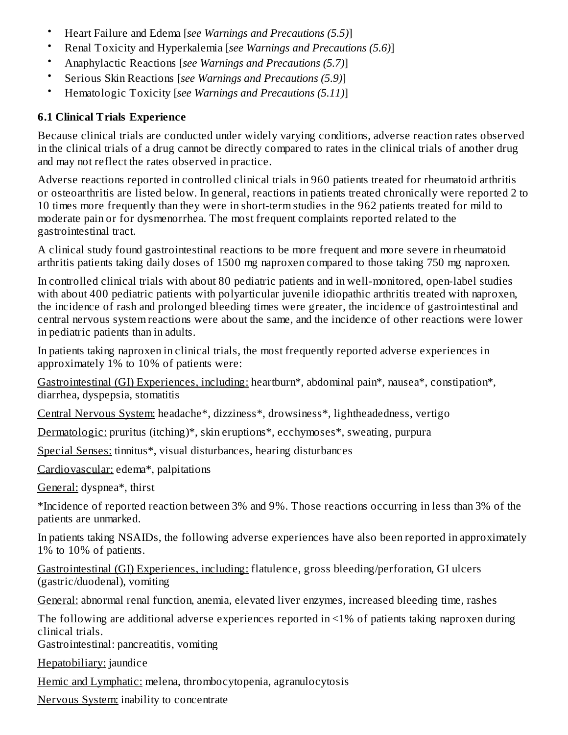- Heart Failure and Edema [*see Warnings and Precautions (5.5)*]
- Renal Toxicity and Hyperkalemia [*see Warnings and Precautions (5.6)*]
- Anaphylactic Reactions [*see Warnings and Precautions (5.7)*]
- Serious Skin Reactions [*see Warnings and Precautions (5.9)*]
- Hematologic Toxicity [*see Warnings and Precautions (5.11)*]

## **6.1 Clinical Trials Experience**

Because clinical trials are conducted under widely varying conditions, adverse reaction rates observed in the clinical trials of a drug cannot be directly compared to rates in the clinical trials of another drug and may not reflect the rates observed in practice.

Adverse reactions reported in controlled clinical trials in 960 patients treated for rheumatoid arthritis or osteoarthritis are listed below. In general, reactions in patients treated chronically were reported 2 to 10 times more frequently than they were in short-term studies in the 962 patients treated for mild to moderate pain or for dysmenorrhea. The most frequent complaints reported related to the gastrointestinal tract.

A clinical study found gastrointestinal reactions to be more frequent and more severe in rheumatoid arthritis patients taking daily doses of 1500 mg naproxen compared to those taking 750 mg naproxen.

In controlled clinical trials with about 80 pediatric patients and in well-monitored, open-label studies with about 400 pediatric patients with polyarticular juvenile idiopathic arthritis treated with naproxen, the incidence of rash and prolonged bleeding times were greater, the incidence of gastrointestinal and central nervous system reactions were about the same, and the incidence of other reactions were lower in pediatric patients than in adults.

In patients taking naproxen in clinical trials, the most frequently reported adverse experiences in approximately 1% to 10% of patients were:

Gastrointestinal (GI) Experiences, including: heartburn\*, abdominal pain\*, nausea\*, constipation\*, diarrhea, dyspepsia, stomatitis

Central Nervous System: headache\*, dizziness\*, drowsiness\*, lightheadedness, vertigo

Dermatologic: pruritus (itching)\*, skin eruptions\*, ecchymoses\*, sweating, purpura

Special Senses: tinnitus\*, visual disturbances, hearing disturbances

Cardiovascular: edema\*, palpitations

General: dyspnea\*, thirst

\*Incidence of reported reaction between 3% and 9%. Those reactions occurring in less than 3% of the patients are unmarked.

In patients taking NSAIDs, the following adverse experiences have also been reported in approximately 1% to 10% of patients.

Gastrointestinal (GI) Experiences, including: flatulence, gross bleeding/perforation, GI ulcers (gastric/duodenal), vomiting

General: abnormal renal function, anemia, elevated liver enzymes, increased bleeding time, rashes

The following are additional adverse experiences reported in <1% of patients taking naproxen during clinical trials.

Gastrointestinal: pancreatitis, vomiting

Hepatobiliary: jaundice

Hemic and Lymphatic: melena, thrombocytopenia, agranulocytosis

Nervous System: inability to concentrate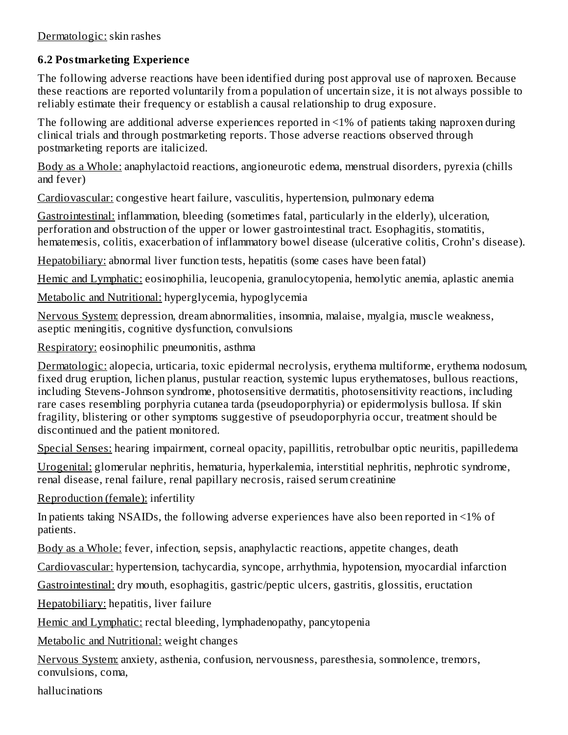### Dermatologic: skin rashes

### **6.2 Postmarketing Experience**

The following adverse reactions have been identified during post approval use of naproxen. Because these reactions are reported voluntarily from a population of uncertain size, it is not always possible to reliably estimate their frequency or establish a causal relationship to drug exposure.

The following are additional adverse experiences reported in <1% of patients taking naproxen during clinical trials and through postmarketing reports. Those adverse reactions observed through postmarketing reports are italicized.

Body as a Whole: anaphylactoid reactions, angioneurotic edema, menstrual disorders, pyrexia (chills and fever)

Cardiovascular: congestive heart failure, vasculitis, hypertension, pulmonary edema

Gastrointestinal: inflammation, bleeding (sometimes fatal, particularly in the elderly), ulceration, perforation and obstruction of the upper or lower gastrointestinal tract. Esophagitis, stomatitis, hematemesis, colitis, exacerbation of inflammatory bowel disease (ulcerative colitis, Crohn's disease).

Hepatobiliary: abnormal liver function tests, hepatitis (some cases have been fatal)

Hemic and Lymphatic: eosinophilia, leucopenia, granulocytopenia, hemolytic anemia, aplastic anemia

Metabolic and Nutritional: hyperglycemia, hypoglycemia

Nervous System: depression, dream abnormalities, insomnia, malaise, myalgia, muscle weakness, aseptic meningitis, cognitive dysfunction, convulsions

Respiratory: eosinophilic pneumonitis, asthma

Dermatologic: alopecia, urticaria, toxic epidermal necrolysis, erythema multiforme, erythema nodosum, fixed drug eruption, lichen planus, pustular reaction, systemic lupus erythematoses, bullous reactions, including Stevens-Johnson syndrome, photosensitive dermatitis, photosensitivity reactions, including rare cases resembling porphyria cutanea tarda (pseudoporphyria) or epidermolysis bullosa. If skin fragility, blistering or other symptoms suggestive of pseudoporphyria occur, treatment should be discontinued and the patient monitored.

Special Senses: hearing impairment, corneal opacity, papillitis, retrobulbar optic neuritis, papilledema

Urogenital: glomerular nephritis, hematuria, hyperkalemia, interstitial nephritis, nephrotic syndrome, renal disease, renal failure, renal papillary necrosis, raised serum creatinine

Reproduction (female): infertility

In patients taking NSAIDs, the following adverse experiences have also been reported in <1% of patients.

Body as a Whole: fever, infection, sepsis, anaphylactic reactions, appetite changes, death

Cardiovascular: hypertension, tachycardia, syncope, arrhythmia, hypotension, myocardial infarction

Gastrointestinal: dry mouth, esophagitis, gastric/peptic ulcers, gastritis, glossitis, eructation

Hepatobiliary: hepatitis, liver failure

Hemic and Lymphatic: rectal bleeding, lymphadenopathy, pancytopenia

Metabolic and Nutritional: weight changes

Nervous System: anxiety, asthenia, confusion, nervousness, paresthesia, somnolence, tremors, convulsions, coma,

hallucinations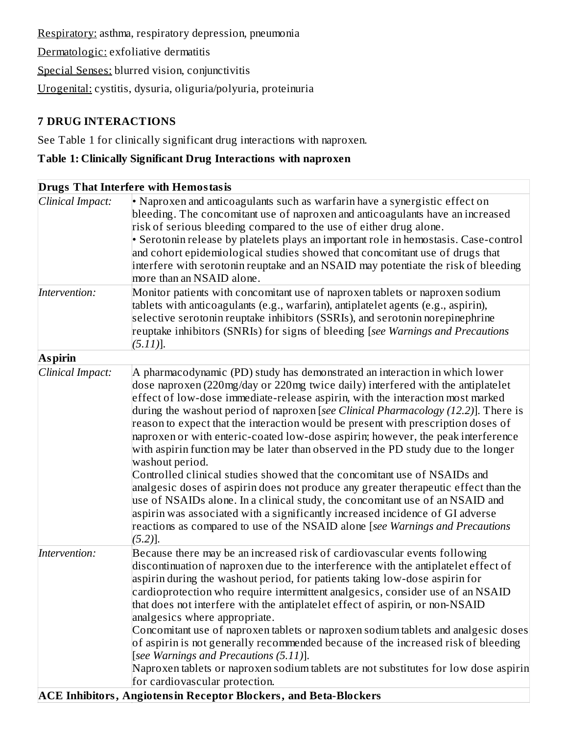Respiratory: asthma, respiratory depression, pneumonia Dermatologic: exfoliative dermatitis Special Senses: blurred vision, conjunctivitis Urogenital: cystitis, dysuria, oliguria/polyuria, proteinuria

# **7 DRUG INTERACTIONS**

See Table 1 for clinically significant drug interactions with naproxen.

# **Table 1: Clinically Significant Drug Interactions with naproxen**

| <b>Drugs That Interfere with Hemostasis</b> |                                                                                                                                                                                                                                                                                                                                                                                                                                                                                                                                                                                                                                                                                                                                                                                                                                                                                                                                                                                                                                                               |  |  |  |
|---------------------------------------------|---------------------------------------------------------------------------------------------------------------------------------------------------------------------------------------------------------------------------------------------------------------------------------------------------------------------------------------------------------------------------------------------------------------------------------------------------------------------------------------------------------------------------------------------------------------------------------------------------------------------------------------------------------------------------------------------------------------------------------------------------------------------------------------------------------------------------------------------------------------------------------------------------------------------------------------------------------------------------------------------------------------------------------------------------------------|--|--|--|
| Clinical Impact:                            | • Naproxen and anticoagulants such as warfarin have a synergistic effect on<br>bleeding. The concomitant use of naproxen and anticoagulants have an increased<br>risk of serious bleeding compared to the use of either drug alone.<br>• Serotonin release by platelets plays an important role in hemostasis. Case-control<br>and cohort epidemiological studies showed that concomitant use of drugs that<br>interfere with serotonin reuptake and an NSAID may potentiate the risk of bleeding<br>more than an NSAID alone.                                                                                                                                                                                                                                                                                                                                                                                                                                                                                                                                |  |  |  |
| Intervention:                               | Monitor patients with concomitant use of naproxen tablets or naproxen sodium<br>tablets with anticoagulants (e.g., warfarin), antiplatelet agents (e.g., aspirin),<br>selective serotonin reuptake inhibitors (SSRIs), and serotonin norepinephrine<br>reuptake inhibitors (SNRIs) for signs of bleeding [see Warnings and Precautions<br>$(5.11)$ ].                                                                                                                                                                                                                                                                                                                                                                                                                                                                                                                                                                                                                                                                                                         |  |  |  |
| <b>Aspirin</b>                              |                                                                                                                                                                                                                                                                                                                                                                                                                                                                                                                                                                                                                                                                                                                                                                                                                                                                                                                                                                                                                                                               |  |  |  |
| Clinical Impact:                            | A pharmacodynamic (PD) study has demonstrated an interaction in which lower<br>dose naproxen (220mg/day or 220mg twice daily) interfered with the antiplatelet<br>effect of low-dose immediate-release aspirin, with the interaction most marked<br>during the washout period of naproxen [see Clinical Pharmacology (12.2)]. There is<br>reason to expect that the interaction would be present with prescription doses of<br>naproxen or with enteric-coated low-dose aspirin; however, the peak interference<br>with aspirin function may be later than observed in the PD study due to the longer<br>washout period.<br>Controlled clinical studies showed that the concomitant use of NSAIDs and<br>analgesic doses of aspirin does not produce any greater therapeutic effect than the<br>use of NSAIDs alone. In a clinical study, the concomitant use of an NSAID and<br>aspirin was associated with a significantly increased incidence of GI adverse<br>reactions as compared to use of the NSAID alone [see Warnings and Precautions<br>$(5.2)$ ]. |  |  |  |
| Intervention:                               | Because there may be an increased risk of cardiovascular events following<br>discontinuation of naproxen due to the interference with the antiplatelet effect of<br>aspirin during the washout period, for patients taking low-dose aspirin for<br>cardioprotection who require intermittent analgesics, consider use of an NSAID<br>that does not interfere with the antiplatelet effect of aspirin, or non-NSAID<br>analgesics where appropriate.<br>Concomitant use of naproxen tablets or naproxen sodium tablets and analgesic doses<br>of aspirin is not generally recommended because of the increased risk of bleeding<br>[see Warnings and Precautions (5.11)].<br>Naproxen tablets or naproxen sodium tablets are not substitutes for low dose aspirin<br>for cardiovascular protection.                                                                                                                                                                                                                                                            |  |  |  |
|                                             | <b>ACE Inhibitors, Angiotensin Receptor Blockers, and Beta-Blockers</b>                                                                                                                                                                                                                                                                                                                                                                                                                                                                                                                                                                                                                                                                                                                                                                                                                                                                                                                                                                                       |  |  |  |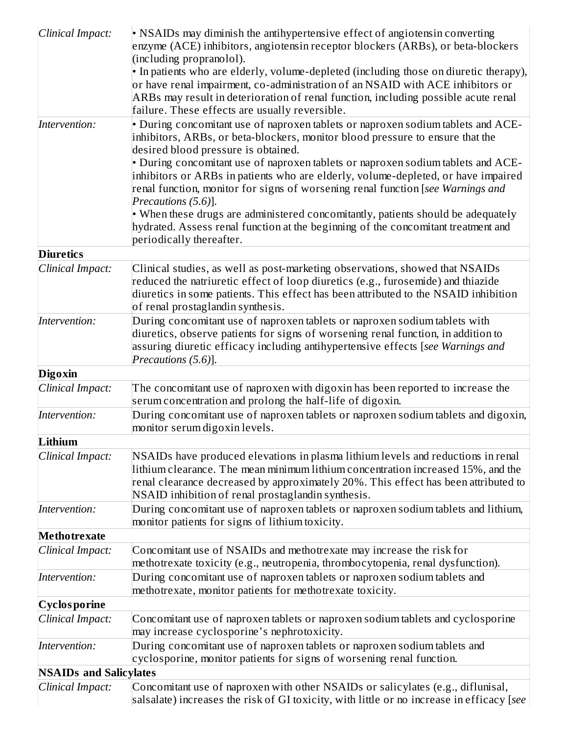| Clinical Impact:                                                                                                                                                                                                                                                                                                                     | • NSAIDs may diminish the antihypertensive effect of angiotensin converting<br>enzyme (ACE) inhibitors, angiotensin receptor blockers (ARBs), or beta-blockers<br>(including propranolol).                                                                    |  |  |  |  |  |
|--------------------------------------------------------------------------------------------------------------------------------------------------------------------------------------------------------------------------------------------------------------------------------------------------------------------------------------|---------------------------------------------------------------------------------------------------------------------------------------------------------------------------------------------------------------------------------------------------------------|--|--|--|--|--|
|                                                                                                                                                                                                                                                                                                                                      | • In patients who are elderly, volume-depleted (including those on diuretic therapy),<br>or have renal impairment, co-administration of an NSAID with ACE inhibitors or<br>ARBs may result in deterioration of renal function, including possible acute renal |  |  |  |  |  |
|                                                                                                                                                                                                                                                                                                                                      | failure. These effects are usually reversible.                                                                                                                                                                                                                |  |  |  |  |  |
| Intervention:                                                                                                                                                                                                                                                                                                                        | • During concomitant use of naproxen tablets or naproxen sodium tablets and ACE-<br>inhibitors, ARBs, or beta-blockers, monitor blood pressure to ensure that the                                                                                             |  |  |  |  |  |
|                                                                                                                                                                                                                                                                                                                                      | desired blood pressure is obtained.                                                                                                                                                                                                                           |  |  |  |  |  |
|                                                                                                                                                                                                                                                                                                                                      | • During concomitant use of naproxen tablets or naproxen sodium tablets and ACE-<br>inhibitors or ARBs in patients who are elderly, volume-depleted, or have impaired<br>renal function, monitor for signs of worsening renal function [see Warnings and      |  |  |  |  |  |
|                                                                                                                                                                                                                                                                                                                                      | Precautions (5.6)].<br>• When these drugs are administered concomitantly, patients should be adequately<br>hydrated. Assess renal function at the beginning of the concomitant treatment and<br>periodically thereafter.                                      |  |  |  |  |  |
| <b>Diuretics</b>                                                                                                                                                                                                                                                                                                                     |                                                                                                                                                                                                                                                               |  |  |  |  |  |
| Clinical Impact:                                                                                                                                                                                                                                                                                                                     | Clinical studies, as well as post-marketing observations, showed that NSAIDs<br>reduced the natriuretic effect of loop diuretics (e.g., furosemide) and thiazide<br>diuretics in some patients. This effect has been attributed to the NSAID inhibition       |  |  |  |  |  |
|                                                                                                                                                                                                                                                                                                                                      | of renal prostaglandin synthesis.                                                                                                                                                                                                                             |  |  |  |  |  |
| Intervention:                                                                                                                                                                                                                                                                                                                        | During concomitant use of naproxen tablets or naproxen sodium tablets with                                                                                                                                                                                    |  |  |  |  |  |
|                                                                                                                                                                                                                                                                                                                                      | diuretics, observe patients for signs of worsening renal function, in addition to                                                                                                                                                                             |  |  |  |  |  |
|                                                                                                                                                                                                                                                                                                                                      | assuring diuretic efficacy including antihypertensive effects [see Warnings and<br>Precautions (5.6)].                                                                                                                                                        |  |  |  |  |  |
| <b>Digoxin</b>                                                                                                                                                                                                                                                                                                                       |                                                                                                                                                                                                                                                               |  |  |  |  |  |
| Clinical Impact:                                                                                                                                                                                                                                                                                                                     | The concomitant use of naproxen with digoxin has been reported to increase the<br>serum concentration and prolong the half-life of digoxin.                                                                                                                   |  |  |  |  |  |
| During concomitant use of naproxen tablets or naproxen sodium tablets and digoxin,<br>Intervention:<br>monitor serum digoxin levels.                                                                                                                                                                                                 |                                                                                                                                                                                                                                                               |  |  |  |  |  |
| Lithium                                                                                                                                                                                                                                                                                                                              |                                                                                                                                                                                                                                                               |  |  |  |  |  |
| NSAIDs have produced elevations in plasma lithium levels and reductions in renal<br>Clinical Impact:<br>lithium clearance. The mean minimum lithium concentration increased 15%, and the<br>renal clearance decreased by approximately 20%. This effect has been attributed to<br>NSAID inhibition of renal prostaglandin synthesis. |                                                                                                                                                                                                                                                               |  |  |  |  |  |
| During concomitant use of naproxen tablets or naproxen sodium tablets and lithium,<br>Intervention:<br>monitor patients for signs of lithium toxicity.                                                                                                                                                                               |                                                                                                                                                                                                                                                               |  |  |  |  |  |
| Methotrexate                                                                                                                                                                                                                                                                                                                         |                                                                                                                                                                                                                                                               |  |  |  |  |  |
| Clinical Impact:<br>Concomitant use of NSAIDs and methotrexate may increase the risk for<br>methotrexate toxicity (e.g., neutropenia, thrombocytopenia, renal dysfunction).                                                                                                                                                          |                                                                                                                                                                                                                                                               |  |  |  |  |  |
| Intervention:                                                                                                                                                                                                                                                                                                                        | During concomitant use of naproxen tablets or naproxen sodium tablets and<br>methotrexate, monitor patients for methotrexate toxicity.                                                                                                                        |  |  |  |  |  |
| Cyclosporine                                                                                                                                                                                                                                                                                                                         |                                                                                                                                                                                                                                                               |  |  |  |  |  |
| Clinical Impact:                                                                                                                                                                                                                                                                                                                     | Concomitant use of naproxen tablets or naproxen sodium tablets and cyclosporine<br>may increase cyclosporine's nephrotoxicity.                                                                                                                                |  |  |  |  |  |
| Intervention:                                                                                                                                                                                                                                                                                                                        | During concomitant use of naproxen tablets or naproxen sodium tablets and<br>cyclosporine, monitor patients for signs of worsening renal function.                                                                                                            |  |  |  |  |  |
| <b>NSAIDs and Salicylates</b>                                                                                                                                                                                                                                                                                                        |                                                                                                                                                                                                                                                               |  |  |  |  |  |
| Concomitant use of naproxen with other NSAIDs or salicylates (e.g., diflunisal,<br>Clinical Impact:<br>salsalate) increases the risk of GI toxicity, with little or no increase in efficacy [see                                                                                                                                     |                                                                                                                                                                                                                                                               |  |  |  |  |  |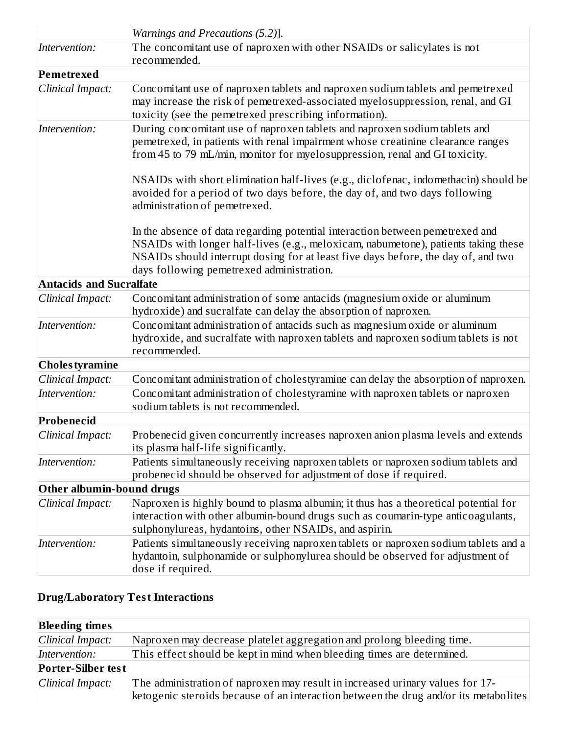|                                                                                                                                                                                                            | Warnings and Precautions (5.2)].                                                                                                                                                                                                                                                                      |  |  |  |  |  |  |  |  |
|------------------------------------------------------------------------------------------------------------------------------------------------------------------------------------------------------------|-------------------------------------------------------------------------------------------------------------------------------------------------------------------------------------------------------------------------------------------------------------------------------------------------------|--|--|--|--|--|--|--|--|
| Intervention:                                                                                                                                                                                              | The concomitant use of naproxen with other NSAIDs or salicylates is not<br>recommended.                                                                                                                                                                                                               |  |  |  |  |  |  |  |  |
| Pemetrexed                                                                                                                                                                                                 |                                                                                                                                                                                                                                                                                                       |  |  |  |  |  |  |  |  |
| Clinical Impact:                                                                                                                                                                                           | Concomitant use of naproxen tablets and naproxen sodium tablets and pemetrexed<br>may increase the risk of pemetrexed-associated myelosuppression, renal, and GI<br>toxicity (see the pemetrexed prescribing information).                                                                            |  |  |  |  |  |  |  |  |
| Intervention:                                                                                                                                                                                              | During concomitant use of naproxen tablets and naproxen sodium tablets and<br>pemetrexed, in patients with renal impairment whose creatinine clearance ranges<br>from 45 to 79 mL/min, monitor for myelosuppression, renal and GI toxicity.                                                           |  |  |  |  |  |  |  |  |
|                                                                                                                                                                                                            | NSAIDs with short elimination half-lives (e.g., diclofenac, indomethacin) should be<br>avoided for a period of two days before, the day of, and two days following<br>administration of pemetrexed.                                                                                                   |  |  |  |  |  |  |  |  |
|                                                                                                                                                                                                            | In the absence of data regarding potential interaction between pemetrexed and<br>NSAIDs with longer half-lives (e.g., meloxicam, nabumetone), patients taking these<br>NSAIDs should interrupt dosing for at least five days before, the day of, and two<br>days following pemetrexed administration. |  |  |  |  |  |  |  |  |
| <b>Antacids and Sucralfate</b>                                                                                                                                                                             |                                                                                                                                                                                                                                                                                                       |  |  |  |  |  |  |  |  |
| Clinical Impact:                                                                                                                                                                                           | Concomitant administration of some antacids (magnesium oxide or aluminum<br>hydroxide) and sucralfate can delay the absorption of naproxen.                                                                                                                                                           |  |  |  |  |  |  |  |  |
| Concomitant administration of antacids such as magnesium oxide or aluminum<br>Intervention:<br>hydroxide, and sucralfate with naproxen tablets and naproxen sodium tablets is not<br>recommended.          |                                                                                                                                                                                                                                                                                                       |  |  |  |  |  |  |  |  |
| <b>Choles tyramine</b>                                                                                                                                                                                     |                                                                                                                                                                                                                                                                                                       |  |  |  |  |  |  |  |  |
| Clinical Impact:                                                                                                                                                                                           | Concomitant administration of cholestyramine can delay the absorption of naproxen.                                                                                                                                                                                                                    |  |  |  |  |  |  |  |  |
| Intervention:                                                                                                                                                                                              | Concomitant administration of cholestyramine with naproxen tablets or naproxen<br>sodium tablets is not recommended.                                                                                                                                                                                  |  |  |  |  |  |  |  |  |
| Probenecid                                                                                                                                                                                                 |                                                                                                                                                                                                                                                                                                       |  |  |  |  |  |  |  |  |
| Clinical Impact:                                                                                                                                                                                           | Probenecid given concurrently increases naproxen anion plasma levels and extends<br>its plasma half-life significantly.                                                                                                                                                                               |  |  |  |  |  |  |  |  |
| Intervention:                                                                                                                                                                                              | Patients simultaneously receiving naproxen tablets or naproxen sodium tablets and<br>probenecid should be observed for adjustment of dose if required.                                                                                                                                                |  |  |  |  |  |  |  |  |
| Other albumin-bound drugs                                                                                                                                                                                  |                                                                                                                                                                                                                                                                                                       |  |  |  |  |  |  |  |  |
| Clinical Impact:                                                                                                                                                                                           | Naproxen is highly bound to plasma albumin; it thus has a theoretical potential for<br>interaction with other albumin-bound drugs such as coumarin-type anticoagulants,<br>sulphonylureas, hydantoins, other NSAIDs, and aspirin.                                                                     |  |  |  |  |  |  |  |  |
| Patients simultaneously receiving naproxen tablets or naproxen sodium tablets and a<br>Intervention:<br>hydantoin, sulphonamide or sulphonylurea should be observed for adjustment of<br>dose if required. |                                                                                                                                                                                                                                                                                                       |  |  |  |  |  |  |  |  |

# **Drug/Laboratory Test Interactions**

| <b>Bleeding times</b>                                                                     |                                                                                                                                                                       |  |  |  |  |
|-------------------------------------------------------------------------------------------|-----------------------------------------------------------------------------------------------------------------------------------------------------------------------|--|--|--|--|
| Clinical Impact:<br>Naproxen may decrease platelet aggregation and prolong bleeding time. |                                                                                                                                                                       |  |  |  |  |
| This effect should be kept in mind when bleeding times are determined.<br>Intervention:   |                                                                                                                                                                       |  |  |  |  |
| <b>Porter-Silber test</b>                                                                 |                                                                                                                                                                       |  |  |  |  |
| Clinical Impact:                                                                          | The administration of naproxen may result in increased urinary values for 17-<br>ketogenic steroids because of an interaction between the drug and/or its metabolites |  |  |  |  |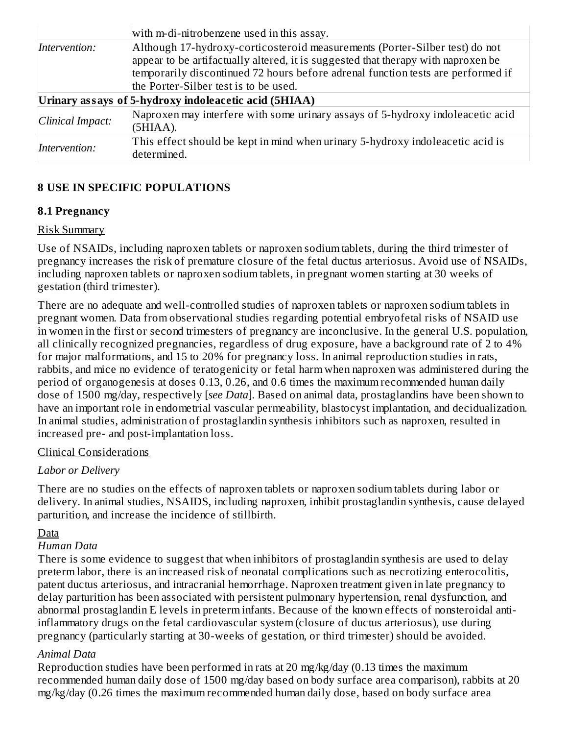|                                                                                                                                                                                                                                                                                                                | with m-di-nitrobenzene used in this assay.                                                    |  |  |  |
|----------------------------------------------------------------------------------------------------------------------------------------------------------------------------------------------------------------------------------------------------------------------------------------------------------------|-----------------------------------------------------------------------------------------------|--|--|--|
| Although 17-hydroxy-corticosteroid measurements (Porter-Silber test) do not<br>Intervention:<br>appear to be artifactually altered, it is suggested that therapy with naproxen be<br>temporarily discontinued 72 hours before adrenal function tests are performed if<br>the Porter-Silber test is to be used. |                                                                                               |  |  |  |
| Urinary assays of 5-hydroxy indoleacetic acid (5HIAA)                                                                                                                                                                                                                                                          |                                                                                               |  |  |  |
| Naproxen may interfere with some urinary assays of 5-hydroxy indoleacetic acid<br>Clinical Impact:<br>(5HIAA).                                                                                                                                                                                                 |                                                                                               |  |  |  |
| Intervention:                                                                                                                                                                                                                                                                                                  | This effect should be kept in mind when urinary 5-hydroxy indoleacetic acid is<br>determined. |  |  |  |

### **8 USE IN SPECIFIC POPULATIONS**

#### **8.1 Pregnancy**

#### Risk Summary

Use of NSAIDs, including naproxen tablets or naproxen sodium tablets, during the third trimester of pregnancy increases the risk of premature closure of the fetal ductus arteriosus. Avoid use of NSAIDs, including naproxen tablets or naproxen sodium tablets, in pregnant women starting at 30 weeks of gestation (third trimester).

There are no adequate and well-controlled studies of naproxen tablets or naproxen sodium tablets in pregnant women. Data from observational studies regarding potential embryofetal risks of NSAID use in women in the first or second trimesters of pregnancy are inconclusive. In the general U.S. population, all clinically recognized pregnancies, regardless of drug exposure, have a background rate of 2 to 4% for major malformations, and 15 to 20% for pregnancy loss. In animal reproduction studies in rats, rabbits, and mice no evidence of teratogenicity or fetal harm when naproxen was administered during the period of organogenesis at doses 0.13, 0.26, and 0.6 times the maximum recommended human daily dose of 1500 mg/day, respectively [*see Data*]. Based on animal data, prostaglandins have been shown to have an important role in endometrial vascular permeability, blastocyst implantation, and decidualization. In animal studies, administration of prostaglandin synthesis inhibitors such as naproxen, resulted in increased pre- and post-implantation loss.

### Clinical Considerations

### *Labor or Delivery*

There are no studies on the effects of naproxen tablets or naproxen sodium tablets during labor or delivery. In animal studies, NSAIDS, including naproxen, inhibit prostaglandin synthesis, cause delayed parturition, and increase the incidence of stillbirth.

### Data

## *Human Data*

There is some evidence to suggest that when inhibitors of prostaglandin synthesis are used to delay preterm labor, there is an increased risk of neonatal complications such as necrotizing enterocolitis, patent ductus arteriosus, and intracranial hemorrhage. Naproxen treatment given in late pregnancy to delay parturition has been associated with persistent pulmonary hypertension, renal dysfunction, and abnormal prostaglandin E levels in preterm infants. Because of the known effects of nonsteroidal antiinflammatory drugs on the fetal cardiovascular system (closure of ductus arteriosus), use during pregnancy (particularly starting at 30-weeks of gestation, or third trimester) should be avoided.

## *Animal Data*

Reproduction studies have been performed in rats at 20 mg/kg/day  $(0.13$  times the maximum recommended human daily dose of 1500 mg/day based on body surface area comparison), rabbits at 20 mg/kg/day (0.26 times the maximum recommended human daily dose, based on body surface area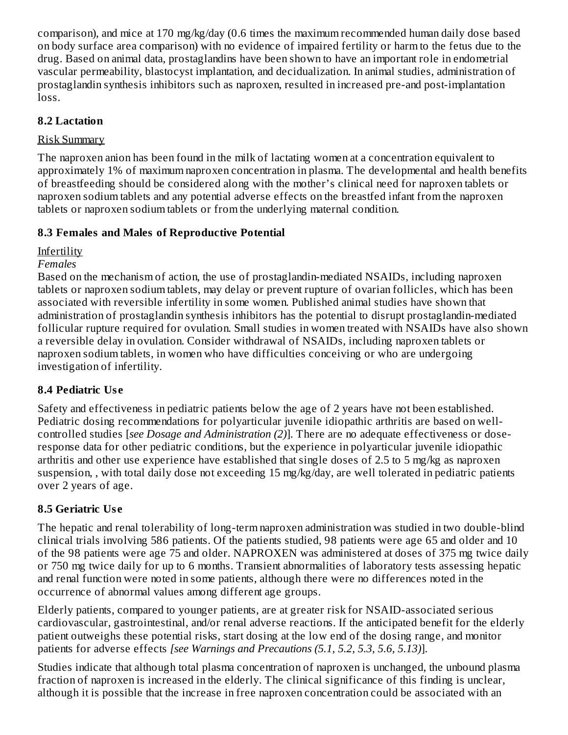comparison), and mice at 170 mg/kg/day (0.6 times the maximum recommended human daily dose based on body surface area comparison) with no evidence of impaired fertility or harm to the fetus due to the drug. Based on animal data, prostaglandins have been shown to have an important role in endometrial vascular permeability, blastocyst implantation, and decidualization. In animal studies, administration of prostaglandin synthesis inhibitors such as naproxen, resulted in increased pre-and post-implantation loss.

### **8.2 Lactation**

### Risk Summary

The naproxen anion has been found in the milk of lactating women at a concentration equivalent to approximately 1% of maximum naproxen concentration in plasma. The developmental and health benefits of breastfeeding should be considered along with the mother's clinical need for naproxen tablets or naproxen sodium tablets and any potential adverse effects on the breastfed infant from the naproxen tablets or naproxen sodium tablets or from the underlying maternal condition.

### **8.3 Females and Males of Reproductive Potential**

Infertility

*Females*

Based on the mechanism of action, the use of prostaglandin-mediated NSAIDs, including naproxen tablets or naproxen sodium tablets, may delay or prevent rupture of ovarian follicles, which has been associated with reversible infertility in some women. Published animal studies have shown that administration of prostaglandin synthesis inhibitors has the potential to disrupt prostaglandin-mediated follicular rupture required for ovulation. Small studies in women treated with NSAIDs have also shown a reversible delay in ovulation. Consider withdrawal of NSAIDs, including naproxen tablets or naproxen sodium tablets, in women who have difficulties conceiving or who are undergoing investigation of infertility.

## **8.4 Pediatric Us e**

Safety and effectiveness in pediatric patients below the age of 2 years have not been established. Pediatric dosing recommendations for polyarticular juvenile idiopathic arthritis are based on wellcontrolled studies [*see Dosage and Administration (2)*]. There are no adequate effectiveness or doseresponse data for other pediatric conditions, but the experience in polyarticular juvenile idiopathic arthritis and other use experience have established that single doses of 2.5 to 5 mg/kg as naproxen suspension, , with total daily dose not exceeding 15 mg/kg/day, are well tolerated in pediatric patients over 2 years of age.

## **8.5 Geriatric Us e**

The hepatic and renal tolerability of long-term naproxen administration was studied in two double-blind clinical trials involving 586 patients. Of the patients studied, 98 patients were age 65 and older and 10 of the 98 patients were age 75 and older. NAPROXEN was administered at doses of 375 mg twice daily or 750 mg twice daily for up to 6 months. Transient abnormalities of laboratory tests assessing hepatic and renal function were noted in some patients, although there were no differences noted in the occurrence of abnormal values among different age groups.

Elderly patients, compared to younger patients, are at greater risk for NSAID-associated serious cardiovascular, gastrointestinal, and/or renal adverse reactions. If the anticipated benefit for the elderly patient outweighs these potential risks, start dosing at the low end of the dosing range, and monitor patients for adverse effects *[see Warnings and Precautions (5.1, 5.2, 5.3, 5.6, 5.13)*].

Studies indicate that although total plasma concentration of naproxen is unchanged, the unbound plasma fraction of naproxen is increased in the elderly. The clinical significance of this finding is unclear, although it is possible that the increase in free naproxen concentration could be associated with an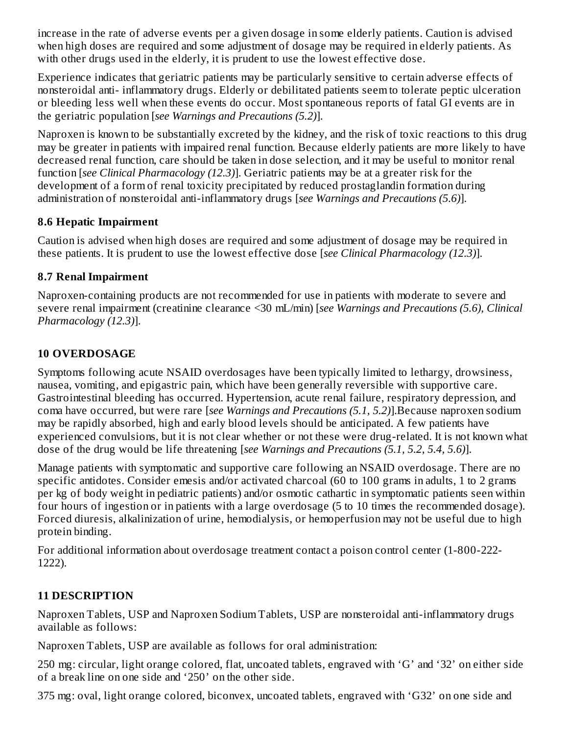increase in the rate of adverse events per a given dosage in some elderly patients. Caution is advised when high doses are required and some adjustment of dosage may be required in elderly patients. As with other drugs used in the elderly, it is prudent to use the lowest effective dose.

Experience indicates that geriatric patients may be particularly sensitive to certain adverse effects of nonsteroidal anti- inflammatory drugs. Elderly or debilitated patients seem to tolerate peptic ulceration or bleeding less well when these events do occur. Most spontaneous reports of fatal GI events are in the geriatric population [*see Warnings and Precautions (5.2)*].

Naproxen is known to be substantially excreted by the kidney, and the risk of toxic reactions to this drug may be greater in patients with impaired renal function. Because elderly patients are more likely to have decreased renal function, care should be taken in dose selection, and it may be useful to monitor renal function [*see Clinical Pharmacology (12.3)*]. Geriatric patients may be at a greater risk for the development of a form of renal toxicity precipitated by reduced prostaglandin formation during administration of nonsteroidal anti-inflammatory drugs [*see Warnings and Precautions (5.6)*].

## **8.6 Hepatic Impairment**

Caution is advised when high doses are required and some adjustment of dosage may be required in these patients. It is prudent to use the lowest effective dose [*see Clinical Pharmacology (12.3)*].

## **8.7 Renal Impairment**

Naproxen-containing products are not recommended for use in patients with moderate to severe and severe renal impairment (creatinine clearance <30 mL/min) [*see Warnings and Precautions (5.6), Clinical Pharmacology (12.3)*].

# **10 OVERDOSAGE**

Symptoms following acute NSAID overdosages have been typically limited to lethargy, drowsiness, nausea, vomiting, and epigastric pain, which have been generally reversible with supportive care. Gastrointestinal bleeding has occurred. Hypertension, acute renal failure, respiratory depression, and coma have occurred, but were rare [*see Warnings and Precautions (5.1, 5.2)*].Because naproxen sodium may be rapidly absorbed, high and early blood levels should be anticipated. A few patients have experienced convulsions, but it is not clear whether or not these were drug-related. It is not known what dose of the drug would be life threatening [*see Warnings and Precautions (5.1, 5.2, 5.4, 5.6)*].

Manage patients with symptomatic and supportive care following an NSAID overdosage. There are no specific antidotes. Consider emesis and/or activated charcoal (60 to 100 grams in adults, 1 to 2 grams per kg of body weight in pediatric patients) and/or osmotic cathartic in symptomatic patients seen within four hours of ingestion or in patients with a large overdosage (5 to 10 times the recommended dosage). Forced diuresis, alkalinization of urine, hemodialysis, or hemoperfusion may not be useful due to high protein binding.

For additional information about overdosage treatment contact a poison control center (1-800-222- 1222).

# **11 DESCRIPTION**

Naproxen Tablets, USP and Naproxen Sodium Tablets, USP are nonsteroidal anti-inflammatory drugs available as follows:

Naproxen Tablets, USP are available as follows for oral administration:

250 mg: circular, light orange colored, flat, uncoated tablets, engraved with 'G' and '32' on either side of a break line on one side and '250' on the other side.

375 mg: oval, light orange colored, biconvex, uncoated tablets, engraved with 'G32' on one side and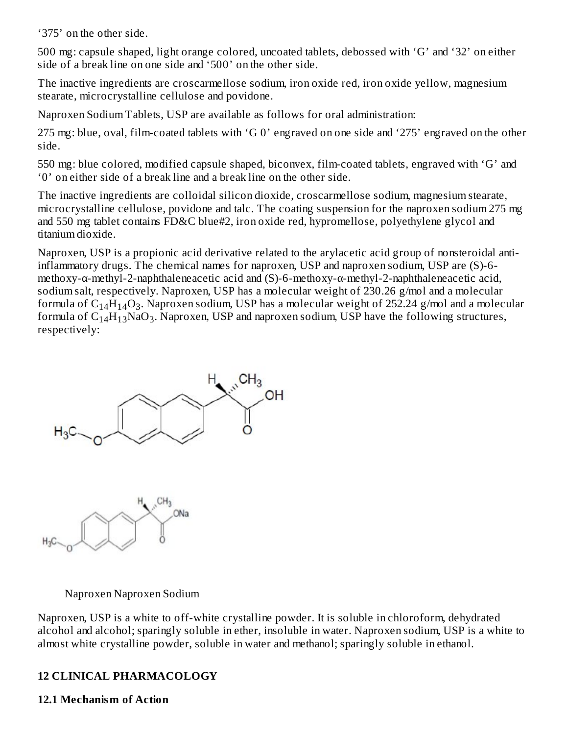'375' on the other side.

500 mg: capsule shaped, light orange colored, uncoated tablets, debossed with 'G' and '32' on either side of a break line on one side and '500' on the other side.

The inactive ingredients are croscarmellose sodium, iron oxide red, iron oxide yellow, magnesium stearate, microcrystalline cellulose and povidone.

Naproxen Sodium Tablets, USP are available as follows for oral administration:

275 mg: blue, oval, film-coated tablets with 'G 0' engraved on one side and '275' engraved on the other side.

550 mg: blue colored, modified capsule shaped, biconvex, film-coated tablets, engraved with 'G' and '0' on either side of a break line and a break line on the other side.

The inactive ingredients are colloidal silicon dioxide, croscarmellose sodium, magnesium stearate, microcrystalline cellulose, povidone and talc. The coating suspension for the naproxen sodium 275 mg and 550 mg tablet contains FD&C blue#2, iron oxide red, hypromellose, polyethylene glycol and titanium dioxide.

Naproxen, USP is a propionic acid derivative related to the arylacetic acid group of nonsteroidal antiinflammatory drugs. The chemical names for naproxen, USP and naproxen sodium, USP are (S)-6 methoxy-α-methyl-2-naphthaleneacetic acid and (S)-6-methoxy-α-methyl-2-naphthaleneacetic acid, sodium salt, respectively. Naproxen, USP has a molecular weight of 230.26 g/mol and a molecular formula of  $\rm{C_{14}H_{14}O_3}$ . Naproxen sodium, USP has a molecular weight of 252.24 g/mol and a molecular formula of  $\rm{C_{14}H_{13}NaO_3}$ . Naproxen, USP and naproxen sodium, USP have the following structures, respectively:





Naproxen Naproxen Sodium

Naproxen, USP is a white to off-white crystalline powder. It is soluble in chloroform, dehydrated alcohol and alcohol; sparingly soluble in ether, insoluble in water. Naproxen sodium, USP is a white to almost white crystalline powder, soluble in water and methanol; sparingly soluble in ethanol.

# **12 CLINICAL PHARMACOLOGY**

### **12.1 Mechanism of Action**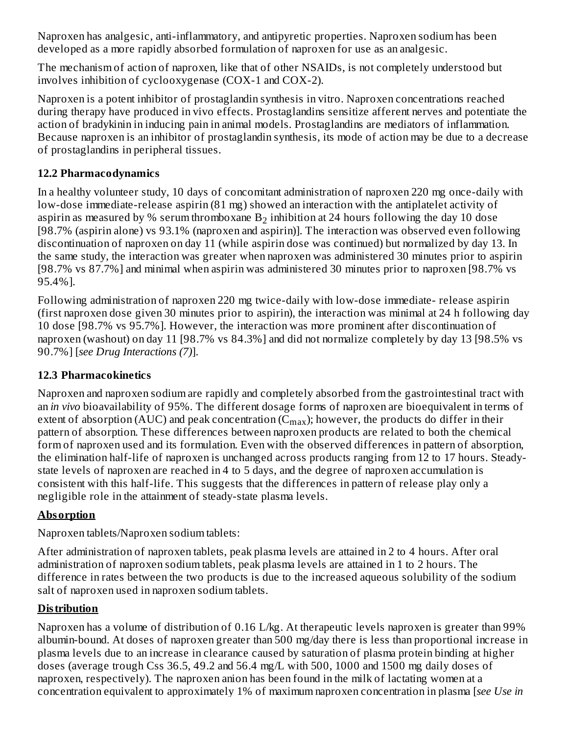Naproxen has analgesic, anti-inflammatory, and antipyretic properties. Naproxen sodium has been developed as a more rapidly absorbed formulation of naproxen for use as an analgesic.

The mechanism of action of naproxen, like that of other NSAIDs, is not completely understood but involves inhibition of cyclooxygenase (COX-1 and COX-2).

Naproxen is a potent inhibitor of prostaglandin synthesis in vitro. Naproxen concentrations reached during therapy have produced in vivo effects. Prostaglandins sensitize afferent nerves and potentiate the action of bradykinin in inducing pain in animal models. Prostaglandins are mediators of inflammation. Because naproxen is an inhibitor of prostaglandin synthesis, its mode of action may be due to a decrease of prostaglandins in peripheral tissues.

## **12.2 Pharmacodynamics**

In a healthy volunteer study, 10 days of concomitant administration of naproxen 220 mg once-daily with low-dose immediate-release aspirin (81 mg) showed an interaction with the antiplatelet activity of aspirin as measured by % serum thromboxane  $\mathrm{B}_2$  inhibition at 24 hours following the day 10 dose [98.7% (aspirin alone) vs 93.1% (naproxen and aspirin)]. The interaction was observed even following discontinuation of naproxen on day 11 (while aspirin dose was continued) but normalized by day 13. In the same study, the interaction was greater when naproxen was administered 30 minutes prior to aspirin [98.7% vs 87.7%] and minimal when aspirin was administered 30 minutes prior to naproxen [98.7% vs 95.4%].

Following administration of naproxen 220 mg twice-daily with low-dose immediate- release aspirin (first naproxen dose given 30 minutes prior to aspirin), the interaction was minimal at 24 h following day 10 dose [98.7% vs 95.7%]. However, the interaction was more prominent after discontinuation of naproxen (washout) on day 11 [98.7% vs 84.3%] and did not normalize completely by day 13 [98.5% vs 90.7%] [*see Drug Interactions (7)*].

## **12.3 Pharmacokinetics**

Naproxen and naproxen sodium are rapidly and completely absorbed from the gastrointestinal tract with an *in vivo* bioavailability of 95%. The different dosage forms of naproxen are bioequivalent in terms of extent of absorption (AUC) and peak concentration (C<sub>max</sub>); however, the products do differ in their pattern of absorption. These differences between naproxen products are related to both the chemical form of naproxen used and its formulation. Even with the observed differences in pattern of absorption, the elimination half-life of naproxen is unchanged across products ranging from 12 to 17 hours. Steadystate levels of naproxen are reached in 4 to 5 days, and the degree of naproxen accumulation is consistent with this half-life. This suggests that the differences in pattern of release play only a negligible role in the attainment of steady-state plasma levels.

# **Absorption**

Naproxen tablets/Naproxen sodium tablets:

After administration of naproxen tablets, peak plasma levels are attained in 2 to 4 hours. After oral administration of naproxen sodium tablets, peak plasma levels are attained in 1 to 2 hours. The difference in rates between the two products is due to the increased aqueous solubility of the sodium salt of naproxen used in naproxen sodium tablets.

# **Distribution**

Naproxen has a volume of distribution of 0.16 L/kg. At therapeutic levels naproxen is greater than 99% albumin-bound. At doses of naproxen greater than 500 mg/day there is less than proportional increase in plasma levels due to an increase in clearance caused by saturation of plasma protein binding at higher doses (average trough Css 36.5, 49.2 and 56.4 mg/L with 500, 1000 and 1500 mg daily doses of naproxen, respectively). The naproxen anion has been found in the milk of lactating women at a concentration equivalent to approximately 1% of maximum naproxen concentration in plasma [*see Use in*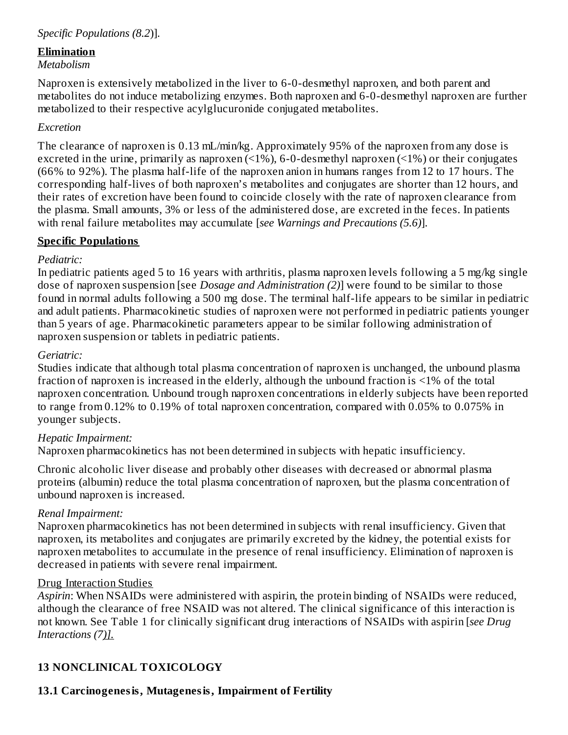### *Specific Populations (8.2*)].

## **Elimination**

#### *Metabolism*

Naproxen is extensively metabolized in the liver to 6-0-desmethyl naproxen, and both parent and metabolites do not induce metabolizing enzymes. Both naproxen and 6-0-desmethyl naproxen are further metabolized to their respective acylglucuronide conjugated metabolites.

### *Excretion*

The clearance of naproxen is 0.13 mL/min/kg. Approximately 95% of the naproxen from any dose is excreted in the urine, primarily as naproxen (<1%), 6-0-desmethyl naproxen (<1%) or their conjugates (66% to 92%). The plasma half-life of the naproxen anion in humans ranges from 12 to 17 hours. The corresponding half-lives of both naproxen's metabolites and conjugates are shorter than 12 hours, and their rates of excretion have been found to coincide closely with the rate of naproxen clearance from the plasma. Small amounts, 3% or less of the administered dose, are excreted in the feces. In patients with renal failure metabolites may accumulate [*see Warnings and Precautions (5.6)*].

### **Specific Populations**

### *Pediatric:*

In pediatric patients aged 5 to 16 years with arthritis, plasma naproxen levels following a 5 mg/kg single dose of naproxen suspension [see *Dosage and Administration (2)*] were found to be similar to those found in normal adults following a 500 mg dose. The terminal half-life appears to be similar in pediatric and adult patients. Pharmacokinetic studies of naproxen were not performed in pediatric patients younger than 5 years of age. Pharmacokinetic parameters appear to be similar following administration of naproxen suspension or tablets in pediatric patients.

### *Geriatric:*

Studies indicate that although total plasma concentration of naproxen is unchanged, the unbound plasma fraction of naproxen is increased in the elderly, although the unbound fraction is <1% of the total naproxen concentration. Unbound trough naproxen concentrations in elderly subjects have been reported to range from 0.12% to 0.19% of total naproxen concentration, compared with 0.05% to 0.075% in younger subjects.

## *Hepatic Impairment:*

Naproxen pharmacokinetics has not been determined in subjects with hepatic insufficiency.

Chronic alcoholic liver disease and probably other diseases with decreased or abnormal plasma proteins (albumin) reduce the total plasma concentration of naproxen, but the plasma concentration of unbound naproxen is increased.

## *Renal Impairment:*

Naproxen pharmacokinetics has not been determined in subjects with renal insufficiency. Given that naproxen, its metabolites and conjugates are primarily excreted by the kidney, the potential exists for naproxen metabolites to accumulate in the presence of renal insufficiency. Elimination of naproxen is decreased in patients with severe renal impairment.

### Drug Interaction Studies

*Aspirin*: When NSAIDs were administered with aspirin, the protein binding of NSAIDs were reduced, although the clearance of free NSAID was not altered. The clinical significance of this interaction is not known. See Table 1 for clinically significant drug interactions of NSAIDs with aspirin [*see Drug Interactions (7)].*

# **13 NONCLINICAL TOXICOLOGY**

# **13.1 Carcinogenesis, Mutagenesis, Impairment of Fertility**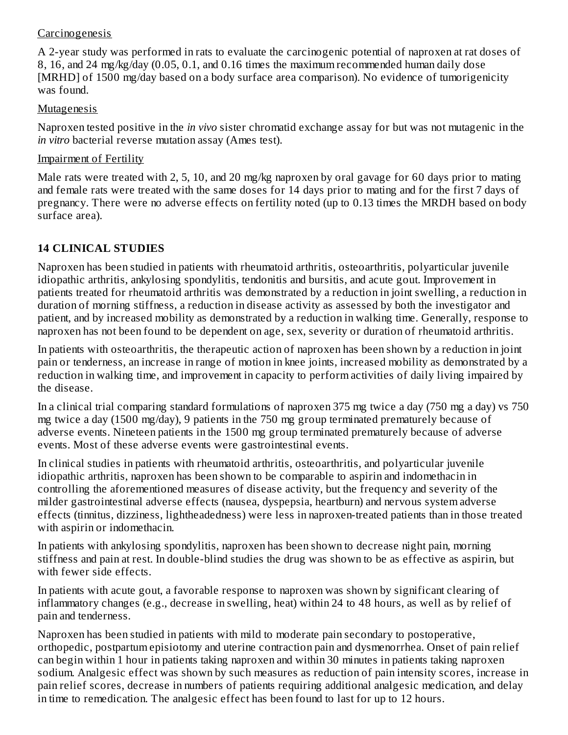#### Carcinogenesis

A 2-year study was performed in rats to evaluate the carcinogenic potential of naproxen at rat doses of 8, 16, and 24 mg/kg/day (0.05, 0.1, and 0.16 times the maximum recommended human daily dose [MRHD] of 1500 mg/day based on a body surface area comparison). No evidence of tumorigenicity was found.

#### **Mutagenesis**

Naproxen tested positive in the *in vivo* sister chromatid exchange assay for but was not mutagenic in the *in vitro* bacterial reverse mutation assay (Ames test).

#### Impairment of Fertility

Male rats were treated with 2, 5, 10, and 20 mg/kg naproxen by oral gavage for 60 days prior to mating and female rats were treated with the same doses for 14 days prior to mating and for the first 7 days of pregnancy. There were no adverse effects on fertility noted (up to 0.13 times the MRDH based on body surface area).

### **14 CLINICAL STUDIES**

Naproxen has been studied in patients with rheumatoid arthritis, osteoarthritis, polyarticular juvenile idiopathic arthritis, ankylosing spondylitis, tendonitis and bursitis, and acute gout. Improvement in patients treated for rheumatoid arthritis was demonstrated by a reduction in joint swelling, a reduction in duration of morning stiffness, a reduction in disease activity as assessed by both the investigator and patient, and by increased mobility as demonstrated by a reduction in walking time. Generally, response to naproxen has not been found to be dependent on age, sex, severity or duration of rheumatoid arthritis.

In patients with osteoarthritis, the therapeutic action of naproxen has been shown by a reduction in joint pain or tenderness, an increase in range of motion in knee joints, increased mobility as demonstrated by a reduction in walking time, and improvement in capacity to perform activities of daily living impaired by the disease.

In a clinical trial comparing standard formulations of naproxen 375 mg twice a day (750 mg a day) vs 750 mg twice a day (1500 mg/day), 9 patients in the 750 mg group terminated prematurely because of adverse events. Nineteen patients in the 1500 mg group terminated prematurely because of adverse events. Most of these adverse events were gastrointestinal events.

In clinical studies in patients with rheumatoid arthritis, osteoarthritis, and polyarticular juvenile idiopathic arthritis, naproxen has been shown to be comparable to aspirin and indomethacin in controlling the aforementioned measures of disease activity, but the frequency and severity of the milder gastrointestinal adverse effects (nausea, dyspepsia, heartburn) and nervous system adverse effects (tinnitus, dizziness, lightheadedness) were less in naproxen-treated patients than in those treated with aspirin or indomethacin.

In patients with ankylosing spondylitis, naproxen has been shown to decrease night pain, morning stiffness and pain at rest. In double-blind studies the drug was shown to be as effective as aspirin, but with fewer side effects.

In patients with acute gout, a favorable response to naproxen was shown by significant clearing of inflammatory changes (e.g., decrease in swelling, heat) within 24 to 48 hours, as well as by relief of pain and tenderness.

Naproxen has been studied in patients with mild to moderate pain secondary to postoperative, orthopedic, postpartum episiotomy and uterine contraction pain and dysmenorrhea. Onset of pain relief can begin within 1 hour in patients taking naproxen and within 30 minutes in patients taking naproxen sodium. Analgesic effect was shown by such measures as reduction of pain intensity scores, increase in pain relief scores, decrease in numbers of patients requiring additional analgesic medication, and delay in time to remedication. The analgesic effect has been found to last for up to 12 hours.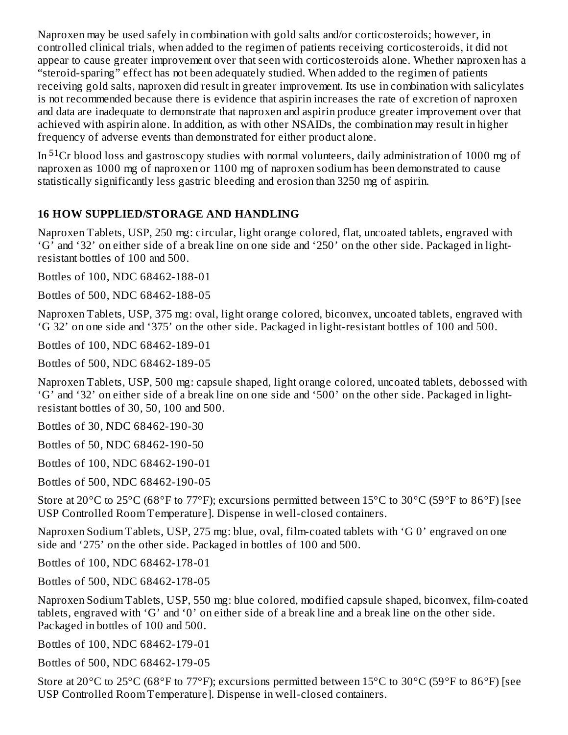Naproxen may be used safely in combination with gold salts and/or corticosteroids; however, in controlled clinical trials, when added to the regimen of patients receiving corticosteroids, it did not appear to cause greater improvement over that seen with corticosteroids alone. Whether naproxen has a "steroid-sparing" effect has not been adequately studied. When added to the regimen of patients receiving gold salts, naproxen did result in greater improvement. Its use in combination with salicylates is not recommended because there is evidence that aspirin increases the rate of excretion of naproxen and data are inadequate to demonstrate that naproxen and aspirin produce greater improvement over that achieved with aspirin alone. In addition, as with other NSAIDs, the combination may result in higher frequency of adverse events than demonstrated for either product alone.

In  $^{51}$ Cr blood loss and gastroscopy studies with normal volunteers, daily administration of 1000 mg of naproxen as 1000 mg of naproxen or 1100 mg of naproxen sodium has been demonstrated to cause statistically significantly less gastric bleeding and erosion than 3250 mg of aspirin.

## **16 HOW SUPPLIED/STORAGE AND HANDLING**

Naproxen Tablets, USP, 250 mg: circular, light orange colored, flat, uncoated tablets, engraved with 'G' and '32' on either side of a break line on one side and '250' on the other side. Packaged in lightresistant bottles of 100 and 500.

Bottles of 100, NDC 68462-188-01

Bottles of 500, NDC 68462-188-05

Naproxen Tablets, USP, 375 mg: oval, light orange colored, biconvex, uncoated tablets, engraved with 'G 32' on one side and '375' on the other side. Packaged in light-resistant bottles of 100 and 500.

Bottles of 100, NDC 68462-189-01

Bottles of 500, NDC 68462-189-05

Naproxen Tablets, USP, 500 mg: capsule shaped, light orange colored, uncoated tablets, debossed with 'G' and '32' on either side of a break line on one side and '500' on the other side. Packaged in lightresistant bottles of 30, 50, 100 and 500.

Bottles of 30, NDC 68462-190-30

Bottles of 50, NDC 68462-190-50

Bottles of 100, NDC 68462-190-01

Bottles of 500, NDC 68462-190-05

Store at 20°C to 25°C (68°F to 77°F); excursions permitted between 15°C to 30°C (59°F to 86°F) [see USP Controlled Room Temperature]. Dispense in well-closed containers.

Naproxen Sodium Tablets, USP, 275 mg: blue, oval, film-coated tablets with 'G 0' engraved on one side and '275' on the other side. Packaged in bottles of 100 and 500.

Bottles of 100, NDC 68462-178-01

Bottles of 500, NDC 68462-178-05

Naproxen Sodium Tablets, USP, 550 mg: blue colored, modified capsule shaped, biconvex, film-coated tablets, engraved with 'G' and '0' on either side of a break line and a break line on the other side. Packaged in bottles of 100 and 500.

Bottles of 100, NDC 68462-179-01

Bottles of 500, NDC 68462-179-05

Store at 20°C to 25°C (68°F to 77°F); excursions permitted between 15°C to 30°C (59°F to 86°F) [see USP Controlled Room Temperature]. Dispense in well-closed containers.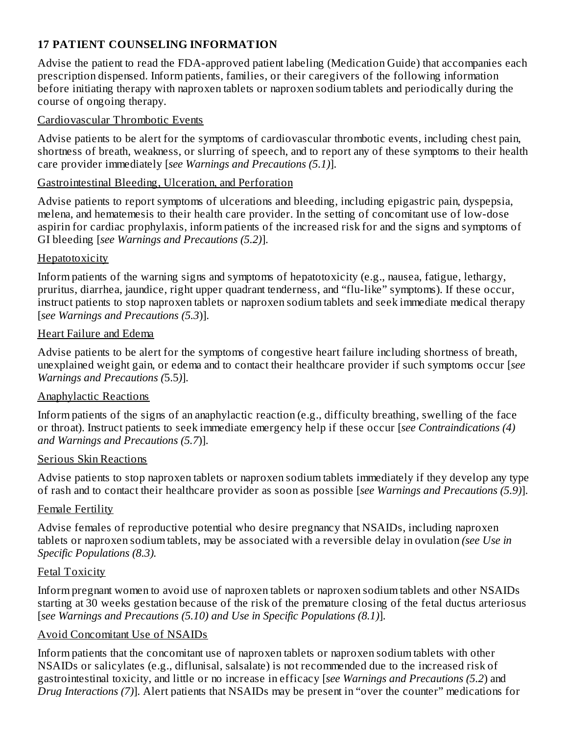## **17 PATIENT COUNSELING INFORMATION**

Advise the patient to read the FDA-approved patient labeling (Medication Guide) that accompanies each prescription dispensed. Inform patients, families, or their caregivers of the following information before initiating therapy with naproxen tablets or naproxen sodium tablets and periodically during the course of ongoing therapy.

#### Cardiovascular Thrombotic Events

Advise patients to be alert for the symptoms of cardiovascular thrombotic events, including chest pain, shortness of breath, weakness, or slurring of speech, and to report any of these symptoms to their health care provider immediately [*see Warnings and Precautions (5.1)*].

#### Gastrointestinal Bleeding, Ulceration, and Perforation

Advise patients to report symptoms of ulcerations and bleeding, including epigastric pain, dyspepsia, melena, and hematemesis to their health care provider. In the setting of concomitant use of low-dose aspirin for cardiac prophylaxis, inform patients of the increased risk for and the signs and symptoms of GI bleeding [*see Warnings and Precautions (5.2)*].

### **Hepatotoxicity**

Inform patients of the warning signs and symptoms of hepatotoxicity (e.g., nausea, fatigue, lethargy, pruritus, diarrhea, jaundice, right upper quadrant tenderness, and "flu-like" symptoms). If these occur, instruct patients to stop naproxen tablets or naproxen sodium tablets and seek immediate medical therapy [*see Warnings and Precautions (5.3*)].

#### Heart Failure and Edema

Advise patients to be alert for the symptoms of congestive heart failure including shortness of breath, unexplained weight gain, or edema and to contact their healthcare provider if such symptoms occur [*see Warnings and Precautions (*5.5*)*].

### Anaphylactic Reactions

Inform patients of the signs of an anaphylactic reaction (e.g., difficulty breathing, swelling of the face or throat). Instruct patients to seek immediate emergency help if these occur [*see Contraindications (4) and Warnings and Precautions (5.7*)].

#### Serious Skin Reactions

Advise patients to stop naproxen tablets or naproxen sodium tablets immediately if they develop any type of rash and to contact their healthcare provider as soon as possible [*see Warnings and Precautions (5.9)*].

### Female Fertility

Advise females of reproductive potential who desire pregnancy that NSAIDs, including naproxen tablets or naproxen sodium tablets, may be associated with a reversible delay in ovulation *(see Use in Specific Populations (8.3).*

#### Fetal Toxicity

Inform pregnant women to avoid use of naproxen tablets or naproxen sodium tablets and other NSAIDs starting at 30 weeks gestation because of the risk of the premature closing of the fetal ductus arteriosus [*see Warnings and Precautions (5.10) and Use in Specific Populations (8.1)*].

#### Avoid Concomitant Use of NSAIDs

Inform patients that the concomitant use of naproxen tablets or naproxen sodium tablets with other NSAIDs or salicylates (e.g., diflunisal, salsalate) is not recommended due to the increased risk of gastrointestinal toxicity, and little or no increase in efficacy [*see Warnings and Precautions (5.2*) and *Drug Interactions (7)*]. Alert patients that NSAIDs may be present in "over the counter" medications for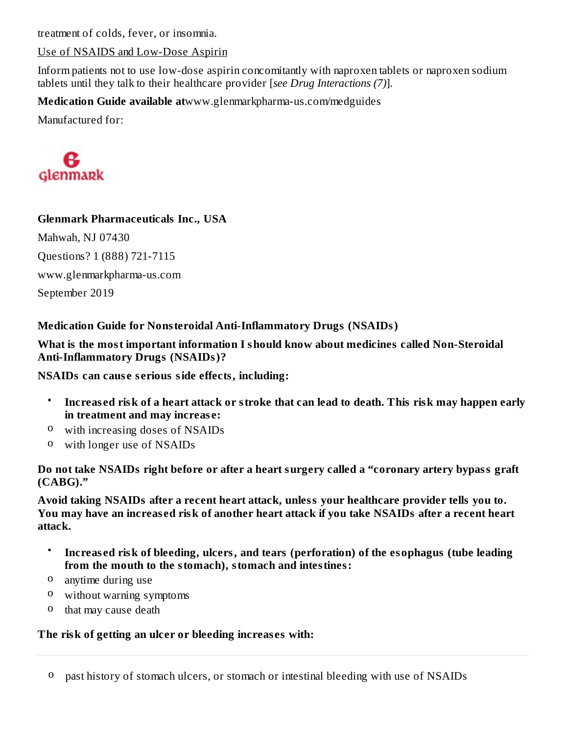treatment of colds, fever, or insomnia.

### Use of NSAIDS and Low-Dose Aspirin

Inform patients not to use low-dose aspirin concomitantly with naproxen tablets or naproxen sodium tablets until they talk to their healthcare provider [*see Drug Interactions (7)*].

## **Medication Guide available at**www.glenmarkpharma-us.com/medguides

Manufactured for:



### **Glenmark Pharmaceuticals Inc., USA**

Mahwah, NJ 07430 Questions? 1 (888) 721-7115 www.glenmarkpharma-us.com September 2019

### **Medication Guide for Nonsteroidal Anti-Inflammatory Drugs (NSAIDs)**

**What is the most important information I should know about medicines called Non-Steroidal Anti-Inflammatory Drugs (NSAIDs)?**

### **NSAIDs can caus e s erious side effects, including:**

- Increased risk of a heart attack or stroke that can lead to death. This risk may happen early **in treatment and may increas e:**
- o with increasing doses of NSAIDs
- o with longer use of NSAIDs

### **Do not take NSAIDs right before or after a heart surgery called a "coronary artery bypass graft (CABG)."**

**Avoid taking NSAIDs after a recent heart attack, unless your healthcare provider tells you to.** You may have an increased risk of another heart attack if you take NSAIDs after a recent heart **attack.**

- **Increas ed risk of bleeding, ulcers, and tears (perforation) of the esophagus (tube leading from the mouth to the stomach), stomach and intestines:**
- o anytime during use
- o without warning symptoms
- o that may cause death

## **The risk of getting an ulcer or bleeding increas es with:**

o past history of stomach ulcers, or stomach or intestinal bleeding with use of NSAIDs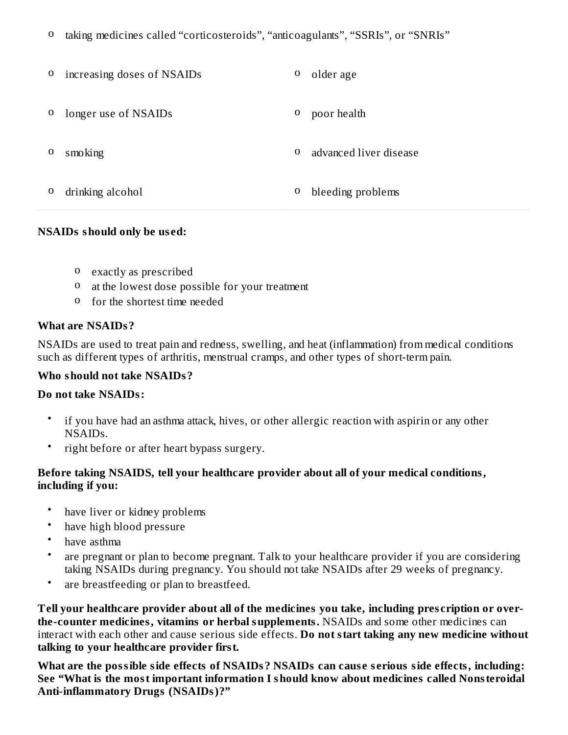o taking medicines called "corticosteroids", "anticoagulants", "SSRIs", or "SNRIs"

| 0 | increasing doses of NSAIDs | O            | older age              |
|---|----------------------------|--------------|------------------------|
| 0 | longer use of NSAIDs       | o            | poor health            |
| 0 | smoking                    | 0            | advanced liver disease |
| 0 | drinking alcohol           | $\mathbf{o}$ | bleeding problems      |

#### **NSAIDs should only be us ed:**

- o exactly as prescribed
- o at the lowest dose possible for your treatment
- o for the shortest time needed

#### **What are NSAIDs?**

NSAIDs are used to treat pain and redness, swelling, and heat (inflammation) from medical conditions such as different types of arthritis, menstrual cramps, and other types of short-term pain.

### **Who should not take NSAIDs?**

### **Do not take NSAIDs:**

- if you have had an asthma attack, hives, or other allergic reaction with aspirin or any other NSAIDs.
- right before or after heart bypass surgery.

### **Before taking NSAIDS, tell your healthcare provider about all of your medical conditions, including if you:**

- have liver or kidney problems
- have high blood pressure
- have asthma
- are pregnant or plan to become pregnant. Talk to your healthcare provider if you are considering taking NSAIDs during pregnancy. You should not take NSAIDs after 29 weeks of pregnancy.
- are breastfeeding or plan to breastfeed.

**Tell your healthcare provider about all of the medicines you take, including pres cription or overthe-counter medicines, vitamins or herbal supplements.** NSAIDs and some other medicines can interact with each other and cause serious side effects. **Do not start taking any new medicine without talking to your healthcare provider first.**

**What are the possible side effects of NSAIDs? NSAIDs can caus e s erious side effects, including: See "What is the most important information I should know about medicines called Nonsteroidal Anti-inflammatory Drugs (NSAIDs)?"**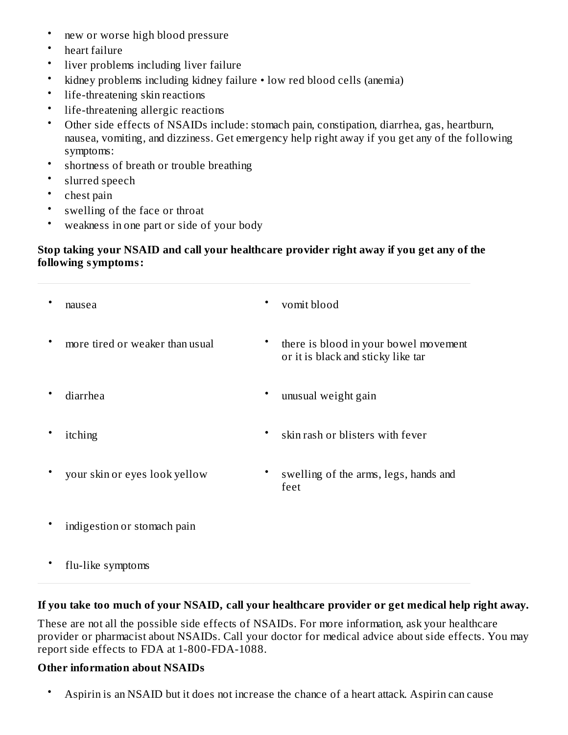- new or worse high blood pressure
- heart failure
- liver problems including liver failure
- kidney problems including kidney failure • low red blood cells (anemia)
- life-threatening skin reactions
- life-threatening allergic reactions
- Other side effects of NSAIDs include: stomach pain, constipation, diarrhea, gas, heartburn, nausea, vomiting, and dizziness. Get emergency help right away if you get any of the following symptoms:
- shortness of breath or trouble breathing
- slurred speech
- chest pain
- swelling of the face or throat
- weakness in one part or side of your body

### **Stop taking your NSAID and call your healthcare provider right away if you get any of the following symptoms:**

| nausea                          | vomit blood                                                                 |
|---------------------------------|-----------------------------------------------------------------------------|
| more tired or weaker than usual | there is blood in your bowel movement<br>or it is black and sticky like tar |
| diarrhea                        | unusual weight gain                                                         |
| itching                         | skin rash or blisters with fever                                            |
| your skin or eyes look yellow   | swelling of the arms, legs, hands and<br>feet                               |
| indigestion or stomach pain     |                                                                             |

• flu-like symptoms

### **If you take too much of your NSAID, call your healthcare provider or get medical help right away.**

These are not all the possible side effects of NSAIDs. For more information, ask your healthcare provider or pharmacist about NSAIDs. Call your doctor for medical advice about side effects. You may report side effects to FDA at 1-800-FDA-1088.

### **Other information about NSAIDs**

• Aspirin is an NSAID but it does not increase the chance of a heart attack. Aspirin can cause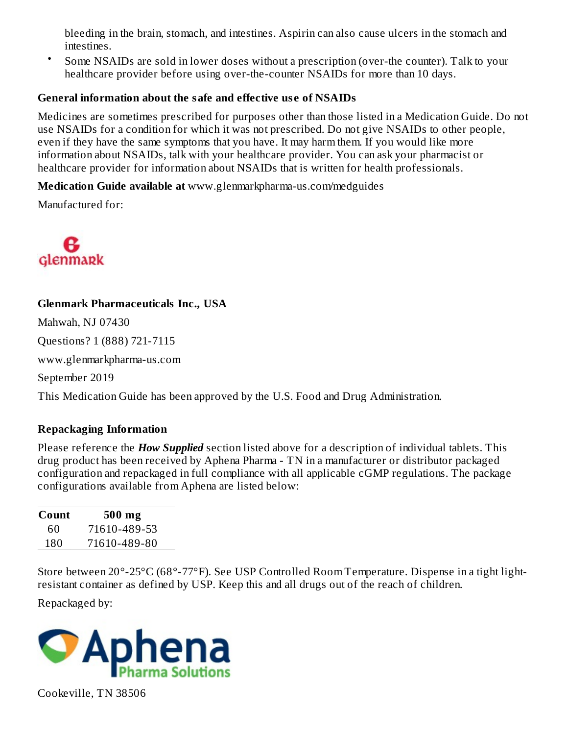bleeding in the brain, stomach, and intestines. Aspirin can also cause ulcers in the stomach and intestines.

• Some NSAIDs are sold in lower doses without a prescription (over-the counter). Talk to your healthcare provider before using over-the-counter NSAIDs for more than 10 days.

#### **General information about the safe and effective us e of NSAIDs**

Medicines are sometimes prescribed for purposes other than those listed in a Medication Guide. Do not use NSAIDs for a condition for which it was not prescribed. Do not give NSAIDs to other people, even if they have the same symptoms that you have. It may harm them. If you would like more information about NSAIDs, talk with your healthcare provider. You can ask your pharmacist or healthcare provider for information about NSAIDs that is written for health professionals.

**Medication Guide available at** www.glenmarkpharma-us.com/medguides

Manufactured for:



### **Glenmark Pharmaceuticals Inc., USA**

Mahwah, NJ 07430 Questions? 1 (888) 721-7115 www.glenmarkpharma-us.com

September 2019

This Medication Guide has been approved by the U.S. Food and Drug Administration.

### **Repackaging Information**

Please reference the *How Supplied* section listed above for a description of individual tablets. This drug product has been received by Aphena Pharma - TN in a manufacturer or distributor packaged configuration and repackaged in full compliance with all applicable cGMP regulations. The package configurations available from Aphena are listed below:

| Count | 500 mg       |
|-------|--------------|
| 60    | 71610-489-53 |
| 180   | 71610-489-80 |

Store between 20°-25°C (68°-77°F). See USP Controlled Room Temperature. Dispense in a tight lightresistant container as defined by USP. Keep this and all drugs out of the reach of children.

Repackaged by:



Cookeville, TN 38506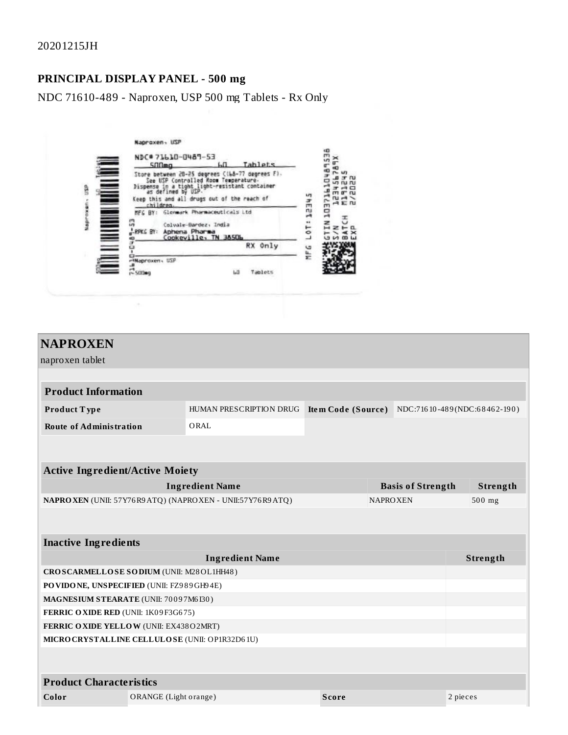## **PRINCIPAL DISPLAY PANEL - 500 mg**

NDC 71610-489 - Naproxen, USP 500 mg Tablets - Rx Only



| <b>NAPROXEN</b>                                                                   |                                           |                         |                                                 |                          |        |          |  |
|-----------------------------------------------------------------------------------|-------------------------------------------|-------------------------|-------------------------------------------------|--------------------------|--------|----------|--|
| naproxen tablet                                                                   |                                           |                         |                                                 |                          |        |          |  |
|                                                                                   |                                           |                         |                                                 |                          |        |          |  |
| <b>Product Information</b>                                                        |                                           |                         |                                                 |                          |        |          |  |
| Product Type                                                                      |                                           | HUMAN PRESCRIPTION DRUG | Item Code (Source) NDC:71610-489(NDC:68462-190) |                          |        |          |  |
| <b>Route of Administration</b>                                                    |                                           | ORAL                    |                                                 |                          |        |          |  |
|                                                                                   |                                           |                         |                                                 |                          |        |          |  |
|                                                                                   |                                           |                         |                                                 |                          |        |          |  |
| <b>Active Ingredient/Active Moiety</b>                                            |                                           |                         |                                                 |                          |        |          |  |
|                                                                                   |                                           | <b>Ingredient Name</b>  |                                                 | <b>Basis of Strength</b> |        | Strength |  |
| NAPRO XEN (UNII: 57Y76 R9 ATQ) (NAPRO XEN - UNII:57Y76 R9 ATQ)<br><b>NAPROXEN</b> |                                           |                         |                                                 |                          | 500 mg |          |  |
|                                                                                   |                                           |                         |                                                 |                          |        |          |  |
| <b>Inactive Ingredients</b>                                                       |                                           |                         |                                                 |                          |        |          |  |
|                                                                                   |                                           | <b>Ingredient Name</b>  |                                                 |                          |        | Strength |  |
| CROSCARMELLOSE SODIUM (UNII: M28OL1HH48)                                          |                                           |                         |                                                 |                          |        |          |  |
|                                                                                   | PO VIDONE, UNSPECIFIED (UNII: FZ989GH94E) |                         |                                                 |                          |        |          |  |
| MAGNESIUM STEARATE (UNII: 70097M6I30)                                             |                                           |                         |                                                 |                          |        |          |  |
| FERRIC OXIDE RED (UNII: 1K09F3G675)                                               |                                           |                         |                                                 |                          |        |          |  |
| FERRIC OXIDE YELLOW (UNII: EX438O2MRT)                                            |                                           |                         |                                                 |                          |        |          |  |
| MICRO CRYSTALLINE CELLULO SE (UNII: OP1R32D61U)                                   |                                           |                         |                                                 |                          |        |          |  |
|                                                                                   |                                           |                         |                                                 |                          |        |          |  |
|                                                                                   |                                           |                         |                                                 |                          |        |          |  |
|                                                                                   | <b>Product Characteristics</b>            |                         |                                                 |                          |        |          |  |
| Color                                                                             |                                           |                         | <b>Score</b>                                    |                          |        |          |  |
| ORANGE (Light orange)<br>2 pieces                                                 |                                           |                         |                                                 |                          |        |          |  |